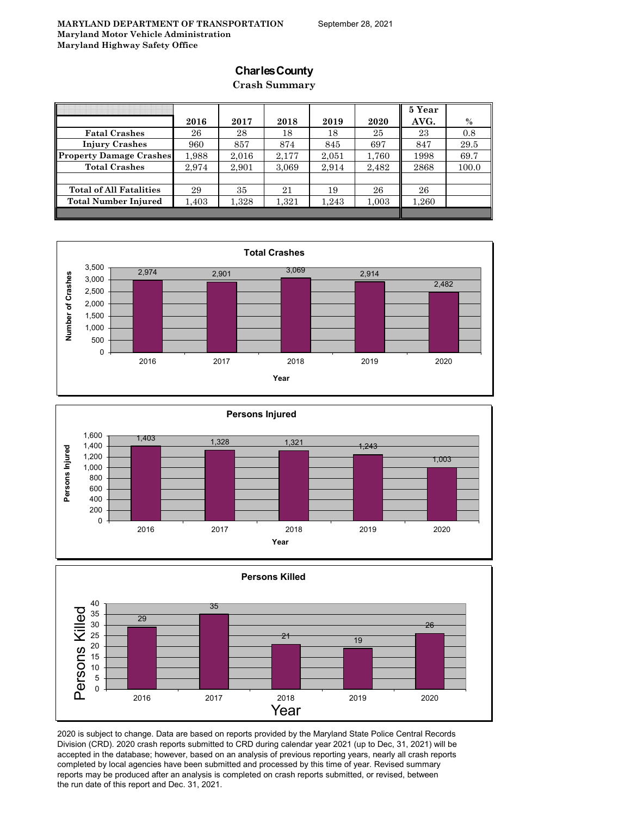### **Charles County**

### **Crash Summary**

|                                |       |       |       |       |       | 5 Year |       |
|--------------------------------|-------|-------|-------|-------|-------|--------|-------|
|                                | 2016  | 2017  | 2018  | 2019  | 2020  | AVG.   | $\%$  |
| <b>Fatal Crashes</b>           | 26    | 28    | 18    | 18    | 25    | 23     | 0.8   |
| <b>Injury Crashes</b>          | 960   | 857   | 874   | 845   | 697   | 847    | 29.5  |
| <b>Property Damage Crashes</b> | 1,988 | 2,016 | 2,177 | 2,051 | 1,760 | 1998   | 69.7  |
| <b>Total Crashes</b>           | 2.974 | 2,901 | 3,069 | 2,914 | 2,482 | 2868   | 100.0 |
|                                |       |       |       |       |       |        |       |
| <b>Total of All Fatalities</b> | 29    | 35    | 21    | 19    | 26    | 26     |       |
| <b>Total Number Injured</b>    | 1,403 | 1,328 | 1,321 | 1,243 | 1,003 | 1,260  |       |
|                                |       |       |       |       |       |        |       |







2020 is subject to change. Data are based on reports provided by the Maryland State Police Central Records Division (CRD). 2020 crash reports submitted to CRD during calendar year 2021 (up to Dec, 31, 2021) will be accepted in the database; however, based on an analysis of previous reporting years, nearly all crash reports completed by local agencies have been submitted and processed by this time of year. Revised summary reports may be produced after an analysis is completed on crash reports submitted, or revised, between the run date of this report and Dec. 31, 2021.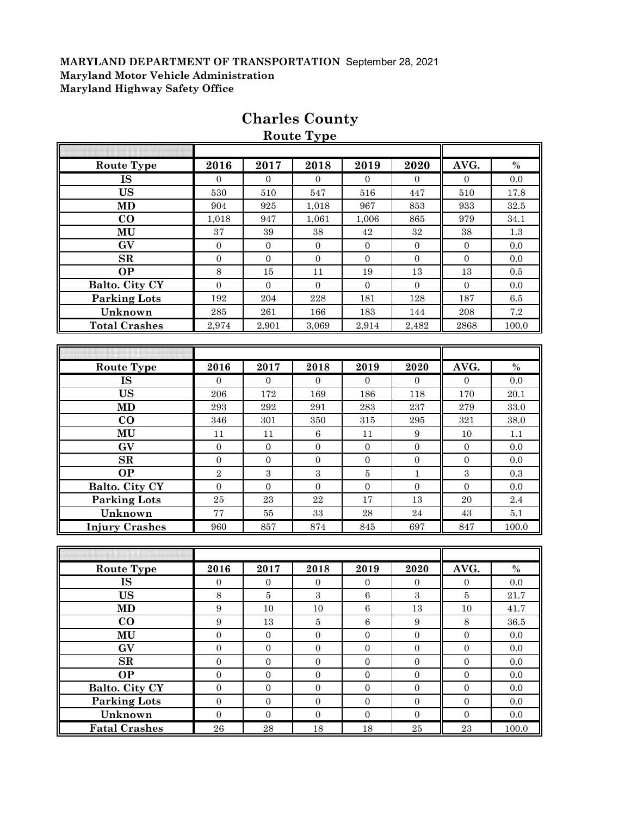|                       |                  |                  | <b>Route Type</b> |                  |                  |                  |          |
|-----------------------|------------------|------------------|-------------------|------------------|------------------|------------------|----------|
|                       |                  |                  |                   |                  |                  |                  |          |
| <b>Route Type</b>     | 2016             | 2017             | 2018              | 2019             | 2020             | AVG.             | $\%$     |
| <b>IS</b>             | $\Omega$         | $\Omega$         | $\Omega$          | $\Omega$         | $\overline{0}$   | $\overline{0}$   | 0.0      |
| <b>US</b>             | 530              | 510              | 547               | 516              | 447              | 510              | 17.8     |
| MD                    | 904              | 925              | 1,018             | 967              | 853              | 933              | 32.5     |
| $\bf{CO}$             | 1,018            | 947              | 1,061             | 1,006            | 865              | 979              | 34.1     |
| MU                    | 37               | $39\,$           | 38                | $42\,$           | $32\,$           | 38               | $1.3\,$  |
| GV                    | $\boldsymbol{0}$ | $\boldsymbol{0}$ | $\boldsymbol{0}$  | $\mathbf{0}$     | $\boldsymbol{0}$ | $\mathbf{0}$     | 0.0      |
| SR                    | $\boldsymbol{0}$ | $\boldsymbol{0}$ | $\boldsymbol{0}$  | $\overline{0}$   | $\boldsymbol{0}$ | $\boldsymbol{0}$ | 0.0      |
| <b>OP</b>             | 8                | 15               | 11                | 19               | 13               | 13               | 0.5      |
| Balto. City CY        | $\overline{0}$   | $\overline{0}$   | $\boldsymbol{0}$  | $\mathbf{0}$     | $\overline{0}$   | $\mathbf{0}$     | 0.0      |
| <b>Parking Lots</b>   | 192              | 204              | $228\,$           | 181              | 128              | 187              | $6.5\,$  |
| Unknown               | 285              | ${\bf 261}$      | 166               | 183              | 144              | $\,208$          | $7.2\,$  |
| <b>Total Crashes</b>  | 2,974            | 2,901            | 3,069             | 2,914            | 2,482            | 2868             | 100.0    |
|                       |                  |                  |                   |                  |                  |                  |          |
|                       |                  |                  |                   |                  |                  |                  |          |
| <b>Route Type</b>     | 2016             | 2017             | 2018              | 2019             | 2020             | AVG.             | $\%$     |
| <b>IS</b>             | $\overline{0}$   | $\boldsymbol{0}$ | $\boldsymbol{0}$  | $\overline{0}$   | $\overline{0}$   | $\boldsymbol{0}$ | 0.0      |
| <b>US</b>             | 206              | 172              | 169               | 186              | 118              | 170              | 20.1     |
| <b>MD</b>             | 293              | $\bf 292$        | 291               | 283              | 237              | 279              | 33.0     |
| $\bf CO$              | 346              | $301\,$          | 350               | $315\,$          | 295              | 321              | 38.0     |
| MU                    | 11               | 11               | $\,6\,$           | 11               | $\boldsymbol{9}$ | 10               | 1.1      |
| GV                    | $\mathbf{0}$     | $\overline{0}$   | $\boldsymbol{0}$  | $\mathbf{0}$     | $\boldsymbol{0}$ | $\mathbf{0}$     | 0.0      |
| SR                    | $\mathbf{0}$     | $\boldsymbol{0}$ | $\boldsymbol{0}$  | $\mathbf{0}$     | $\overline{0}$   | $\overline{0}$   | 0.0      |
| <b>OP</b>             | $\overline{2}$   | $\sqrt{3}$       | 3                 | $\bf 5$          | 1                | $\boldsymbol{3}$ | 0.3      |
| Balto. City CY        | $\boldsymbol{0}$ | $\boldsymbol{0}$ | $\boldsymbol{0}$  | $\boldsymbol{0}$ | $\boldsymbol{0}$ | $\boldsymbol{0}$ | 0.0      |
| <b>Parking Lots</b>   | 25               | 23               | 22                | 17               | 13               | 20               | 2.4      |
| Unknown               | $77\,$           | $55\,$           | $33\,$            | $\bf 28$         | $\bf 24$         | 43               | $5.1\,$  |
| <b>Injury Crashes</b> | 960              | 857              | 874               | 845              | 697              | 847              | 100.0    |
|                       |                  |                  |                   |                  |                  |                  |          |
|                       |                  |                  |                   |                  |                  |                  |          |
| Route Type            | 2016             | 2017             | 2018              | 2019             | 2020             | AVG.             | $\%$     |
| <b>IS</b>             | $\boldsymbol{0}$ | $\boldsymbol{0}$ | $\boldsymbol{0}$  | $\boldsymbol{0}$ | $\boldsymbol{0}$ | $\boldsymbol{0}$ | $0.0\,$  |
| <b>US</b>             | 8                | 5                | 3                 | 6                | 3                | $\bf 5$          | $21.7\,$ |
| MD                    | 9                | 10               | 10                | $\,6\,$          | 13               | 10               | 41.7     |
| $\bf CO$              | $\boldsymbol{9}$ | $13\,$           | $\bf 5$           | $\,6\,$          | $\boldsymbol{9}$ | $8\,$            | 36.5     |
| MU                    | $\boldsymbol{0}$ | $\boldsymbol{0}$ | $\overline{0}$    | $\boldsymbol{0}$ | $\overline{0}$   | $\boldsymbol{0}$ | $0.0\,$  |
| GV                    | $\boldsymbol{0}$ | $\boldsymbol{0}$ | $\boldsymbol{0}$  | $\boldsymbol{0}$ | $\boldsymbol{0}$ | $\boldsymbol{0}$ | $0.0\,$  |
| $\mathbf{SR}$         | $\boldsymbol{0}$ | $\boldsymbol{0}$ | $\boldsymbol{0}$  | $\boldsymbol{0}$ | $\boldsymbol{0}$ | $\boldsymbol{0}$ | 0.0      |
| <b>OP</b>             | $\boldsymbol{0}$ | $\boldsymbol{0}$ | $\boldsymbol{0}$  | $\boldsymbol{0}$ | $\boldsymbol{0}$ | $\boldsymbol{0}$ | $0.0\,$  |
| Balto. City CY        | $\boldsymbol{0}$ | $\boldsymbol{0}$ | $\overline{0}$    | $\boldsymbol{0}$ | $\boldsymbol{0}$ | $\boldsymbol{0}$ | $0.0\,$  |
| Parking Lots          | $\boldsymbol{0}$ | $\boldsymbol{0}$ | $\boldsymbol{0}$  | $\overline{0}$   | $\boldsymbol{0}$ | $\boldsymbol{0}$ | 0.0      |
|                       |                  |                  |                   |                  |                  |                  |          |
| Unknown               | $\overline{0}$   | $\boldsymbol{0}$ | $\boldsymbol{0}$  | $\overline{0}$   | $\overline{0}$   | $\mathbf{0}$     | $0.0\,$  |
| <b>Fatal Crashes</b>  | ${\bf 26}$       | $\bf 28$         | $18\,$            | $18\,$           | $\bf 25$         | $\bf 23$         | 100.0    |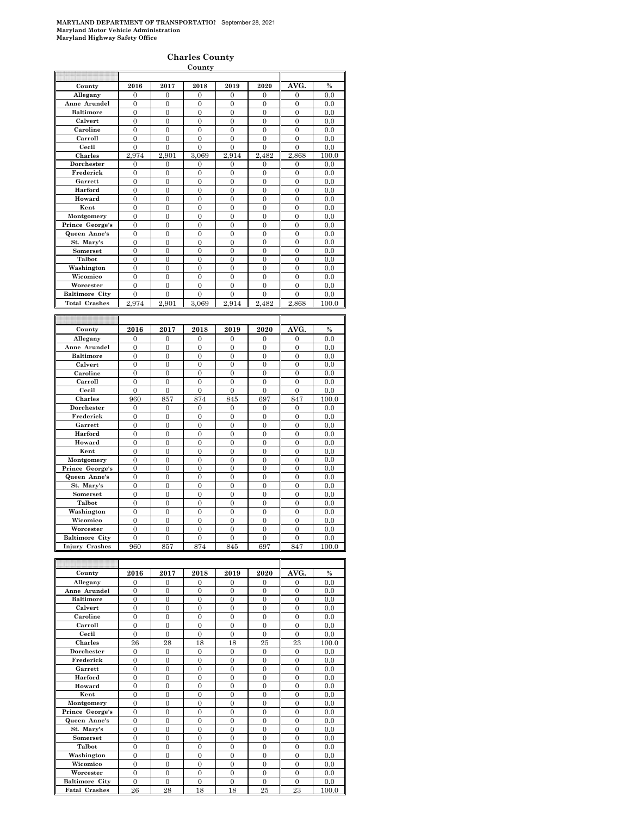|                       |                  |                  | County           |                  |                  |                  |               |
|-----------------------|------------------|------------------|------------------|------------------|------------------|------------------|---------------|
|                       |                  |                  |                  |                  |                  |                  |               |
| County                | 2016             | 2017             | 2018             | 2019             | 2020             | AVG.             | $\frac{0}{0}$ |
| Allegany              | $\overline{0}$   | $\overline{0}$   | $\overline{0}$   | $\overline{0}$   | $\overline{0}$   | $\overline{0}$   | 0.0           |
| Anne Arundel          | $\overline{0}$   | $\mathbf{0}$     | $\mathbf{0}$     | $\mathbf{0}$     | $\mathbf{0}$     | $\mathbf{0}$     | 0.0           |
| <b>Baltimore</b>      | $\overline{0}$   | $\overline{0}$   | $\overline{0}$   | $\overline{0}$   | $\overline{0}$   | $\overline{0}$   | 0.0           |
| Calvert               | $\overline{0}$   | $\overline{0}$   | $\mathbf{0}$     | $\mathbf{0}$     | $\overline{0}$   | $\overline{0}$   | 0.0           |
| Caroline              | $\mathbf{0}$     | $\mathbf{0}$     | $\boldsymbol{0}$ | $\boldsymbol{0}$ | $\boldsymbol{0}$ | $\overline{0}$   | 0.0           |
| Carroll               | $\overline{0}$   | $\overline{0}$   | $\overline{0}$   | $\overline{0}$   | $\overline{0}$   | $\overline{0}$   | 0.0           |
| Cecil                 | $\theta$         | $\theta$         | $\theta$         | $\mathbf{0}$     | $\theta$         | $\theta$         | 0.0           |
| Charles               | 2.974            | 2.901            | 3.069            | 2.914            | 2,482            | 2,868            | 100.0         |
| Dorchester            | 0                | $\overline{0}$   | $\mathbf{0}$     | 0                | 0                | 0                | 0.0           |
| Frederick             | $\boldsymbol{0}$ | 0                | $\bf{0}$         | $\bf{0}$         | 0                | 0                | 0.0           |
| Garrett               | $\overline{0}$   | $\overline{0}$   | $\overline{0}$   | $\overline{0}$   | $\overline{0}$   | $\overline{0}$   | 0.0           |
| Harford               | $\overline{0}$   | $\mathbf{0}$     | $\mathbf{0}$     | $\mathbf{0}$     | $\mathbf{0}$     | $\overline{0}$   | 0.0           |
| Howard                | $\overline{0}$   | $\overline{0}$   | $\overline{0}$   | $\overline{0}$   | $\overline{0}$   | $\overline{0}$   | 0.0           |
| Kent                  | $\mathbf{0}$     | $\mathbf{0}$     | $\mathbf{0}$     | $\mathbf{0}$     | $\mathbf{0}$     | 0                | 0.0           |
| Montgomery            | $\overline{0}$   | $\overline{0}$   | $\overline{0}$   | $\overline{0}$   | $\overline{0}$   | $\overline{0}$   | 0.0           |
| Prince George's       | $\overline{0}$   | $\overline{0}$   | $\overline{0}$   | $\overline{0}$   | $\overline{0}$   | $\overline{0}$   | 0.0           |
| Queen Anne's          | $\mathbf{0}$     | $\overline{0}$   | $\mathbf{0}$     | $\mathbf{0}$     | $\overline{0}$   | $\overline{0}$   | 0.0           |
| St. Mary's            | $\overline{0}$   | $\overline{0}$   | $\overline{0}$   | $\overline{0}$   | $\overline{0}$   | $\overline{0}$   | 0.0           |
| Somerset              | $\overline{0}$   | $\overline{0}$   | $\overline{0}$   | $\overline{0}$   | $\overline{0}$   | $\overline{0}$   | 0.0           |
| Talbot                | $\overline{0}$   | $\overline{0}$   | $\mathbf{0}$     | $\boldsymbol{0}$ | 0                | $\overline{0}$   | 0.0           |
| Washington            | $\overline{0}$   | $\overline{0}$   | $\mathbf{0}$     | $\overline{0}$   | $\overline{0}$   | $\overline{0}$   | 0.0           |
| Wicomico              | 0                | 0                | $\bf{0}$         | $\bf{0}$         | 0                | 0                | 0.0           |
| Worcester             | $\mathbf{0}$     | $\overline{0}$   | $\theta$         | $\mathbf{0}$     | $\overline{0}$   | $\mathbf{0}$     | 0.0           |
| <b>Baltimore City</b> | 0                | $\overline{0}$   | $\mathbf{0}$     | $\overline{0}$   | $\mathbf{0}$     | 0                | 0.0           |
| <b>Total Crashes</b>  | 2,974            | 2.901            | 3,069            | 2,914            | 2,482            | 2,868            | 100.0         |
|                       |                  |                  |                  |                  |                  |                  |               |
|                       |                  |                  |                  |                  |                  |                  |               |
|                       |                  |                  |                  |                  |                  |                  |               |
| County                | 2016             | 2017             | 2018             | 2019             | 2020             | AVG.             | $\%$          |
| Allegany              | 0                | $\overline{0}$   | $\overline{0}$   | $\overline{0}$   | 0                | 0                | 0.0           |
| Anne Arundel          | $\mathbf{0}$     | $\mathbf{0}$     | $\mathbf{0}$     | $\boldsymbol{0}$ | $\mathbf{0}$     | $\overline{0}$   | 0.0           |
| <b>Baltimore</b>      | $\overline{0}$   | $\overline{0}$   | $\overline{0}$   | $\mathbf{0}$     | $\overline{0}$   | $\overline{0}$   | 0.0           |
| Calvert               | $\mathbf{0}$     | $\overline{0}$   | $\overline{0}$   | $\boldsymbol{0}$ | $\boldsymbol{0}$ | $\mathbf{0}$     | 0.0           |
| Caroline              | $\boldsymbol{0}$ | $\boldsymbol{0}$ | $\boldsymbol{0}$ | $\boldsymbol{0}$ | $\boldsymbol{0}$ | 0                | 0.0           |
| Carroll               | $\boldsymbol{0}$ | $\boldsymbol{0}$ | $\boldsymbol{0}$ | $\boldsymbol{0}$ | $\boldsymbol{0}$ | $\boldsymbol{0}$ | 0.0           |
| Cecil                 | $\mathbf{0}$     | $\mathbf{0}$     | $\mathbf{0}$     | $\mathbf{0}$     | $\overline{0}$   | $\mathbf{0}$     | 0.0           |
| Charles               | 960              | 857              | 874              | 845              | 697              | 847              | 100.0         |
| Dorchester            | $\boldsymbol{0}$ | 0                | $\boldsymbol{0}$ | $\boldsymbol{0}$ | $\overline{0}$   | $\boldsymbol{0}$ | 0.0           |
| Frederick             | $\overline{0}$   | $\overline{0}$   | $\overline{0}$   | $\overline{0}$   | $\overline{0}$   | $\overline{0}$   | 0.0           |
| Garrett               | $\boldsymbol{0}$ | $\overline{0}$   | $\mathbf{0}$     | $\mathbf{0}$     | $\overline{0}$   | $\overline{0}$   | 0.0           |
| Harford               | $\boldsymbol{0}$ | $\overline{0}$   | $\overline{0}$   | $\mathbf{0}$     | $\mathbf{0}$     | $\overline{0}$   | 0.0           |
| Howard                | $\mathbf{0}$     | $\boldsymbol{0}$ | $\boldsymbol{0}$ | $\boldsymbol{0}$ | $\boldsymbol{0}$ | $\overline{0}$   | 0.0           |
| Kent                  | $\boldsymbol{0}$ | $\overline{0}$   | $\overline{0}$   | $\overline{0}$   | $\overline{0}$   | $\overline{0}$   | 0.0           |
| Montgomery            | $\overline{0}$   | $\overline{0}$   | $\overline{0}$   | $\overline{0}$   | $\overline{0}$   | $\overline{0}$   | 0.0           |
| Prince George's       | $\mathbf{0}$     | $\overline{0}$   | $\overline{0}$   | $\overline{0}$   | $\mathbf{0}$     | $\overline{0}$   | 0.0           |
| Queen Anne's          | $\boldsymbol{0}$ | $\overline{0}$   | $\overline{0}$   | $\overline{0}$   | $\overline{0}$   | $\overline{0}$   | 0.0           |
| St. Mary's            | $\mathbf{0}$     | $\mathbf{0}$     | $\boldsymbol{0}$ | $\boldsymbol{0}$ | $\boldsymbol{0}$ | $\mathbf{0}$     | 0.0           |
| Somerset              | 0                | 0                | $\mathbf{0}$     | $\mathbf{0}$     | $\mathbf{0}$     | $\overline{0}$   | 0.0           |
| Talbot                | $\mathbf{0}$     | $\theta$         | $\mathbf{0}$     | $\boldsymbol{0}$ | $\mathbf{0}$     | $\overline{0}$   | 0.0           |
| Washington            | $\overline{0}$   | $\overline{0}$   | $\overline{0}$   | $\overline{0}$   | $\overline{0}$   | $\overline{0}$   | 0.0           |
| Wicomico              | $\overline{0}$   | $\overline{0}$   | $\overline{0}$   | $\overline{0}$   | $\overline{0}$   | $\overline{0}$   | 0.0           |
| Worcester             | $\boldsymbol{0}$ | $\overline{0}$   | $\boldsymbol{0}$ | $\mathbf{0}$     | $\boldsymbol{0}$ | $\overline{0}$   | 0.0           |
| <b>Baltimore City</b> | $\overline{0}$   | $\overline{0}$   | $\overline{0}$   | $\overline{0}$   | $\overline{0}$   | $\overline{0}$   | 0.0           |
| <b>Injury Crashes</b> | 960              | 857              | 874              | 845              | 697              | 847              | 100.0         |
|                       |                  |                  |                  |                  |                  |                  |               |
|                       |                  |                  |                  |                  |                  |                  |               |
| County                | 2016             | 2017             | 2018             | 2019             | 2020             | AVG.             | $\frac{0}{0}$ |

| County                | 2016           | 2017           | 2018           | 2019           | 2020           | AVG.           | $\%$  |
|-----------------------|----------------|----------------|----------------|----------------|----------------|----------------|-------|
| Allegany              | $\theta$       | $\Omega$       | $\Omega$       | $\Omega$       | $\theta$       | $\theta$       | 0.0   |
| Anne Arundel          | $\Omega$       | $\Omega$       | $\Omega$       | $\Omega$       | $\theta$       | $\overline{0}$ | 0.0   |
| <b>Baltimore</b>      | $\Omega$       | $\theta$       | $\theta$       | $\theta$       | $\theta$       | $\overline{0}$ | 0.0   |
| Calvert               | $\overline{0}$ | $\overline{0}$ | $\Omega$       | $\overline{0}$ | $\overline{0}$ | $\overline{0}$ | 0.0   |
| Caroline              | $\theta$       | $\Omega$       | $\Omega$       | $\Omega$       | $\theta$       | $\overline{0}$ | 0.0   |
| Carroll               | $\theta$       | $\Omega$       | $\Omega$       | $\Omega$       | $\overline{0}$ | $\overline{0}$ | 0.0   |
| Cecil                 | $\Omega$       | $\theta$       | $\theta$       | $\theta$       | $\theta$       | $\theta$       | 0.0   |
| <b>Charles</b>        | 26             | 28             | 18             | 18             | 25             | 23             | 100.0 |
| Dorchester            | $\overline{0}$ | $\Omega$       | $\Omega$       | $\Omega$       | $\theta$       | $\overline{0}$ | 0.0   |
| Frederick             | $\theta$       | $\theta$       | $\theta$       | $\theta$       | $\overline{0}$ | $\overline{0}$ | 0.0   |
| Garrett               | $\overline{0}$ | $\overline{0}$ | $\overline{0}$ | $\overline{0}$ | $\overline{0}$ | $\overline{0}$ | 0.0   |
| Harford               | $\overline{0}$ | $\overline{0}$ | $\overline{0}$ | $\overline{0}$ | $\overline{0}$ | $\overline{0}$ | 0.0   |
| Howard                | $\overline{0}$ | $\theta$       | $\theta$       | $\theta$       | $\overline{0}$ | $\overline{0}$ | 0.0   |
| Kent                  | $\theta$       | $\theta$       | $\theta$       | $\theta$       | $\theta$       | $\overline{0}$ | 0.0   |
| Montgomery            | $\Omega$       | $\Omega$       | $\Omega$       | $\Omega$       | $\theta$       | $\overline{0}$ | 0.0   |
| Prince George's       | $\Omega$       | $\theta$       | $\Omega$       | $\theta$       | $\theta$       | $\theta$       | 0.0   |
| Queen Anne's          | $\theta$       | $\Omega$       | $\Omega$       | $\Omega$       | $\theta$       | $\overline{0}$ | 0.0   |
| St. Mary's            | $\theta$       | $\theta$       | $\theta$       | $\overline{0}$ | $\overline{0}$ | $\overline{0}$ | 0.0   |
| Somerset              | $\overline{0}$ | $\overline{0}$ | $\Omega$       | $\overline{0}$ | $\overline{0}$ | $\overline{0}$ | 0.0   |
| Talbot                | $\theta$       | $\Omega$       | $\Omega$       | $\Omega$       | $\overline{0}$ | $\overline{0}$ | 0.0   |
| Washington            | $\overline{0}$ | $\Omega$       | $\overline{0}$ | $\Omega$       | $\overline{0}$ | $\overline{0}$ | 0.0   |
| Wicomico              | $\overline{0}$ | $\theta$       | $\theta$       | $\overline{0}$ | $\overline{0}$ | $\overline{0}$ | 0.0   |
| Worcester             | $\theta$       | $\Omega$       | $\Omega$       | $\Omega$       | $\theta$       | $\overline{0}$ | 0.0   |
| <b>Baltimore City</b> | $\Omega$       | $\Omega$       | $\theta$       | $\Omega$       | $\theta$       | $\theta$       | 0.0   |
| <b>Fatal Crashes</b>  | 26             | 28             | 18             | 18             | 25             | 23             | 100.0 |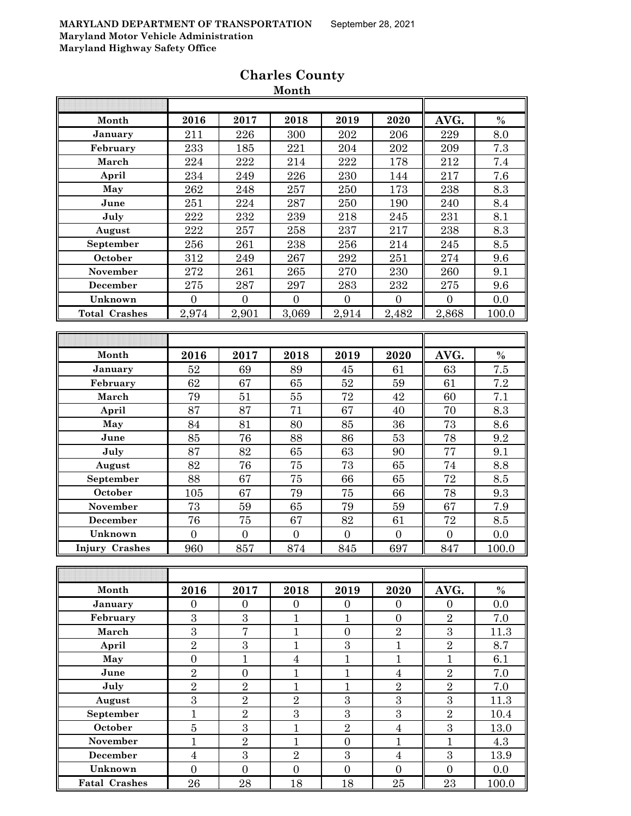| Month                 | 2016             | 2017             | 2018                    | 2019           | 2020             | AVG.             | $\%$             |
|-----------------------|------------------|------------------|-------------------------|----------------|------------------|------------------|------------------|
| January               | 211              | 226              | 300                     | 202            | 206              | 229              | 8.0              |
| February              | 233              | 185              | 221                     | 204            | 202              | 209              | 7.3              |
| March                 | 224              | 222              | 214                     | 222            | 178              | 212              | $7.4\,$          |
| April                 | 234              | $\bf 249$        | 226                     | 230            | 144              | 217              | 7.6              |
| May                   | 262              | 248              | 257                     | 250            | 173              | 238              | 8.3              |
| June                  | 251              | 224              | 287                     | 250            | 190              | 240              | 8.4              |
| July                  | 222              | 232              | 239                     | 218            | 245              | 231              | 8.1              |
| August                | 222              | 257              | 258                     | 237            | 217              | 238              | 8.3              |
| September             | 256              | 261              | 238                     | 256            | 214              | 245              | 8.5              |
| October               | 312              | 249              | 267                     | 292            | 251              | 274              | 9.6              |
| November              | $\overline{2}72$ | 261              | 265                     | 270            | 230              | 260              | 9.1              |
| December              | 275              | 287              | 297                     | 283            | 232              | 275              | 9.6              |
| Unknown               | $\overline{0}$   | $\overline{0}$   | $\boldsymbol{0}$        | $\overline{0}$ | $\overline{0}$   | $\boldsymbol{0}$ | 0.0              |
| <b>Total Crashes</b>  | 2,974            | 2,901            | 3,069                   | 2,914          | 2,482            | 2,868            | 100.0            |
|                       |                  |                  |                         |                |                  |                  |                  |
|                       |                  |                  |                         |                |                  |                  |                  |
| Month                 | 2016             | 2017             | 2018                    | 2019           | 2020             | AVG.             | $\%$             |
| January               | 52               | 69               | 89                      | 45             | 61               | 63               | $\overline{7}.5$ |
| February              | 62               | 67               | 65                      | $52\,$         | 59               | 61               | $\!\!7.2$        |
| March                 | 79               | 51               | 55                      | 72             | 42               | 60               | 7.1              |
| April                 | 87               | 87               | 71                      | 67             | 40               | 70               | 8.3              |
| May                   | 84               | 81               | 80                      | 85             | 36               | 73               | 8.6              |
| June                  | 85               | 76               | 88                      | 86             | 53               | 78               | 9.2              |
| July                  | 87               | 82               | 65                      | 63             | 90               | 77               | 9.1              |
| August                | 82               | 76               | 75                      | 73             | 65               | 74               | 8.8              |
| September             | 88               | 67               | $75\,$                  | 66             | 65               | 72               | 8.5              |
| October               | 105              | 67               | 79                      | 75             | 66               | 78               | 9.3              |
| November              | 73               | 59               | 65                      | 79             | 59               | 67               | 7.9              |
| <b>December</b>       | 76               | 75               | 67                      | 82             | 61               | 72               | $\!\!\!\!\!8.5$  |
| Unknown               | $\boldsymbol{0}$ | $\boldsymbol{0}$ | $\boldsymbol{0}$        | $\overline{0}$ | $\boldsymbol{0}$ | $\boldsymbol{0}$ | 0.0              |
| <b>Injury Crashes</b> | 960              | 857              | 874                     | 845            | 697              | 847              | 100.0            |
|                       |                  |                  |                         |                |                  |                  |                  |
|                       |                  |                  |                         |                |                  |                  |                  |
| Month                 | 2016             | 2017             | 2018                    | 2019           | 2020             | AVG.             | $\%$             |
| January               | $\overline{0}$   | $\overline{0}$   | $\overline{0}$          | $\overline{0}$ | $\overline{0}$   | $\overline{0}$   | 0.0              |
| February              | 3                | $\overline{3}$   | $\mathbf{1}$            | $\mathbf{1}$   | $\overline{0}$   | $\overline{2}$   | 7.0              |
| March                 | $\overline{3}$   | $\overline{7}$   | $\overline{1}$          | $\overline{0}$ | $\sqrt{2}$       | $\overline{3}$   | 11.3             |
| April                 | $\overline{2}$   | $\sqrt{3}$       | $\mathbf{1}$            | $\sqrt{3}$     | $\mathbf{1}$     | $\overline{2}$   | 8.7              |
| May                   | $\overline{0}$   | $\mathbf{1}$     | $\overline{\mathbf{4}}$ | $\mathbf{1}$   | $\mathbf{1}$     | $\mathbf{1}$     | 6.1              |
| June                  | $\overline{2}$   | $\boldsymbol{0}$ | $\mathbf{1}$            | $\mathbf{1}$   | $\overline{4}$   | $\overline{2}$   | 7.0              |
| July                  | $\overline{2}$   | $\sqrt{2}$       | $\mathbf{1}$            | $\mathbf{1}$   | $\sqrt{2}$       | $\overline{2}$   | 7.0              |
| August                | 3                | $\overline{2}$   | $\overline{2}$          | 3              | $\overline{3}$   | $\overline{3}$   | 11.3             |
| September             | $\mathbf{1}$     | $\overline{2}$   | $\boldsymbol{3}$        | $\sqrt{3}$     | 3                | $\overline{2}$   | 10.4             |
| October               | $\overline{5}$   | $\overline{3}$   | $\mathbf{1}$            | $\overline{2}$ | $\bf 4$          | $\overline{3}$   | 13.0             |
| November              | $\mathbf{1}$     | $\overline{2}$   | $\mathbf{1}$            | $\overline{0}$ | $\mathbf{1}$     | $\mathbf{1}$     | 4.3              |
| <b>December</b>       | $\overline{4}$   | $\mathbf{3}$     | $\sqrt{2}$              | 3              | $\overline{4}$   | $\overline{3}$   | 13.9             |
| Unknown               | $\overline{0}$   | $\overline{0}$   | $\overline{0}$          | $\overline{0}$ | $\overline{0}$   | $\overline{0}$   | 0.0              |
| <b>Fatal Crashes</b>  | 26               | 28               | 18                      | 18             | 25               | 23               | 100.0            |

# **Charles County Month**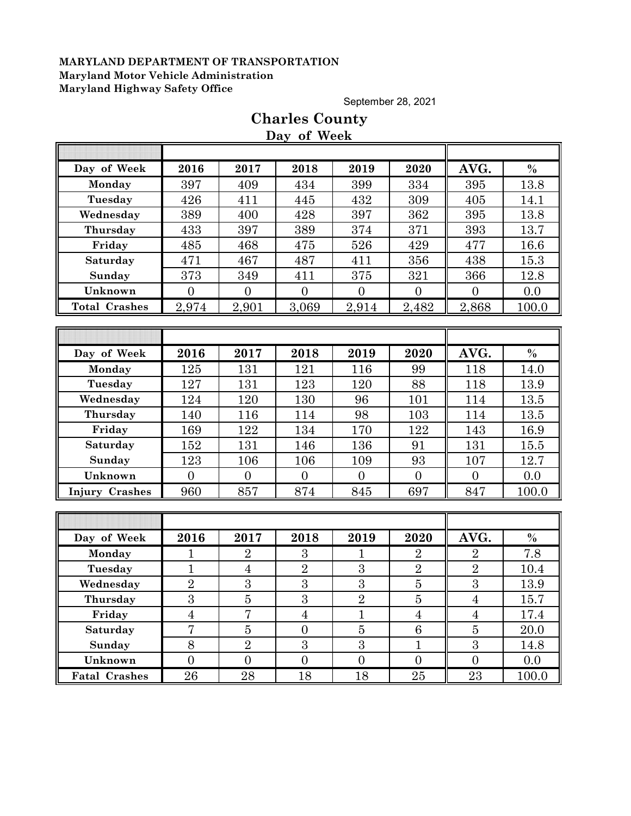September 28, 2021

|                       |                  |                | Day of Week    |                |                 |                |       |
|-----------------------|------------------|----------------|----------------|----------------|-----------------|----------------|-------|
|                       |                  |                |                |                |                 |                |       |
| Day of Week           | 2016             | 2017           | 2018           | 2019           | 2020            | AVG.           | $\%$  |
| Monday                | 397              | 409            | 434            | 399            | 334             | 395            | 13.8  |
| Tuesday               | 426              | 411            | 445            | 432            | 309             | 405            | 14.1  |
| Wednesday             | 389              | 400            | 428            | 397            | 362             | 395            | 13.8  |
| Thursday              | 433              | 397            | 389            | 374            | 371             | 393            | 13.7  |
| Friday                | 485              | 468            | 475            | 526            | 429             | 477            | 16.6  |
| Saturday              | 471              | 467            | 487            | 411            | 356             | 438            | 15.3  |
| Sunday                | 373              | 349            | 411            | 375            | 321             | 366            | 12.8  |
| Unknown               | $\boldsymbol{0}$ | $\overline{0}$ | $\overline{0}$ | $\overline{0}$ | $\overline{0}$  | $\overline{0}$ | 0.0   |
| <b>Total Crashes</b>  | 2,974            | 2,901          | 3,069          | 2,914          | 2,482           | 2,868          | 100.0 |
|                       |                  |                |                |                |                 |                |       |
|                       |                  |                |                |                |                 |                |       |
| Day of Week           | 2016             | 2017           | 2018           | 2019           | 2020            | AVG.           | $\%$  |
| Monday                | 125              | 131            | 121            | 116            | 99              | 118            | 14.0  |
| Tuesday               | 127              | 131            | 123            | 120            | 88              | 118            | 13.9  |
| Wednesday             | 124              | 120            | 130            | 96             | 101             | 114            | 13.5  |
| Thursday              | 140              | 116            | 114            | 98             | 103             | 114            | 13.5  |
| Friday                | 169              | 122            | 134            | 170            | 122             | 143            | 16.9  |
| Saturday              | 152              | 131            | 146            | 136            | 91              | 131            | 15.5  |
| Sunday                | 123              | 106            | 106            | 109            | 93              | 107            | 12.7  |
| Unknown               | $\overline{0}$   | $\overline{0}$ | $\overline{0}$ | $\overline{0}$ | $\overline{0}$  | $\overline{0}$ | 0.0   |
| <b>Injury Crashes</b> | 960              | 857            | 874            | 845            | 697             | 847            | 100.0 |
|                       |                  |                |                |                |                 |                |       |
|                       |                  |                |                |                |                 |                |       |
| Day of Week           | 2016             | 2017           | 2018           | 2019           | 2020            | AVG.           | $\%$  |
| Monday                | 1                | $\overline{2}$ | 3              | 1              | $\overline{2}$  | $\overline{2}$ | 7.8   |
| Tuesday               | $\mathbf{1}$     | $\overline{4}$ | $\overline{2}$ | 3              | $\overline{2}$  | $\overline{2}$ | 10.4  |
| Wednesday             | $\overline{2}$   | 3              | 3              | $\overline{3}$ | $\bf 5$         | 3              | 13.9  |
| Thursday              | $\overline{3}$   | $\overline{5}$ | $\overline{3}$ | $\overline{2}$ | $\bf 5$         | $\overline{4}$ | 15.7  |
| Friday                | $\overline{4}$   | $\overline{7}$ | $\overline{4}$ | $\mathbf{1}$   | $\overline{4}$  | $\overline{4}$ | 17.4  |
| <b>Saturday</b>       | $\overline{7}$   | $\overline{5}$ | $\overline{0}$ | $\overline{5}$ | $6\phantom{1}6$ | $\overline{5}$ | 20.0  |
| Sunday                | $8\,$            | $\sqrt{2}$     | $\overline{3}$ | 3              | $\mathbf{1}$    | $\overline{3}$ | 14.8  |
| Unknown               | $\overline{0}$   | $\overline{0}$ | $\overline{0}$ | $\overline{0}$ | $\overline{0}$  | $\overline{0}$ | 0.0   |
| <b>Fatal Crashes</b>  | 26               | 28             | 18             | 18             | $25\,$          | <b>23</b>      | 100.0 |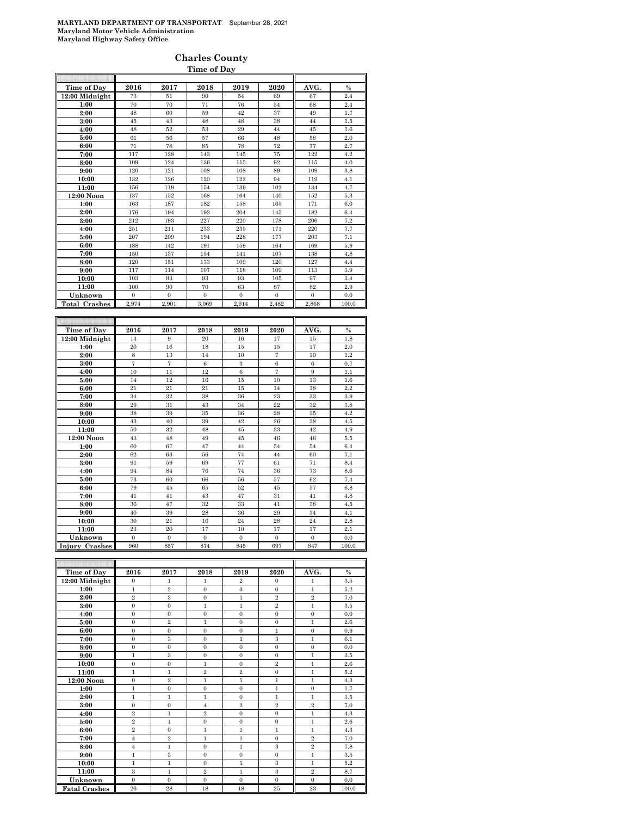### **Charles County Time of Day**

| <b>Time of Day</b>    | 2016           | 2017                 | 2018           | 2019             | 2020             | AVG.             | $\%$          |
|-----------------------|----------------|----------------------|----------------|------------------|------------------|------------------|---------------|
| 12:00 Midnight        | 73             | 51                   | 90             | 54               | 69               | 67               | 2.4           |
| 1:00                  | 70             | 70                   | 71             | 76               | 54               | 68               | 2.4           |
| 2:00                  | 48             | 60                   | 59             | 42               | 37               | 49               | 1.7           |
| 3:00                  | 45             | 43                   | 48             | 48               | 38               | 44               | 1.5           |
| 4:00                  | 48             | 52                   | 53             | 29               | 44               | 45               | 1.6           |
| 5:00                  | 61             | 56                   | 57             | 66               | 48               | 58               | 2.0           |
| 6:00                  | 71             | 78                   | 85             | 78               | 72               | 77               | 2.7           |
| 7:00                  | 117            | 128                  | 143            | 145              | 75               | 122              | 4.2           |
| 8:00                  | 109            | 124                  | 136            | 115              | 92               | 115              | 4.0           |
| 9:00                  | 120            | 121                  | 108            | 108              | 89               | 109              | 3.8           |
| 10:00                 | 132            | 126                  | 120            | 122              | 94               | 119              | 4.1           |
| 11:00                 | 156            | 119                  | 154            | 139              | 102              | 134              | 4.7           |
| 12:00 Noon            | 137            | 152                  | 168            | 164              | 140              | 152              | 5.3           |
| 1:00                  | 163            | 187                  | 182            | 158              | 165              | 171              | 6.0           |
| 2:00                  | 176            | 194                  | 193            | 204              | 145              | 182              | 6.4           |
| 3:00                  | 212            | 193                  | 227            | 220              | 178              | 206              | 7.2           |
| 4:00                  | 251            | 211                  | 233            | 235              | 171              | 220              | 7.7           |
| 5:00                  | 207            | 209                  | 194            | 228              | 177              | 203              | 7.1           |
| 6:00                  | 188            | 142                  | 191            | 159              | 164              | 169              | 5.9           |
| 7:00                  | 150            | 137                  | 154            | 141              | 107              | 138              | 4.8           |
| 8:00                  | 120            | 151                  | 133            | 109              | 120              | 127              | 4.4           |
| 9:00                  | 117            | 114                  | 107            | 118              | 109              | 113              | 3.9           |
| 10:00                 | 103            | 93                   | 93             | 93               | 105              | 97               | 3.4           |
| 11:00                 | 100            | 90                   | 70             | 63               | 87               | 82               | 2.9           |
| Unknown               | $\bf{0}$       | $\bf{0}$             | $\overline{0}$ | $\boldsymbol{0}$ | $\boldsymbol{0}$ | $\boldsymbol{0}$ | 0.0           |
| <b>Total Crashes</b>  | 2,974          | 2,901                | 3,069          | 2,914            | 2,482            | 2,868            | 100.0         |
|                       |                |                      |                |                  |                  |                  |               |
|                       |                |                      |                |                  |                  |                  |               |
|                       |                |                      |                |                  |                  |                  |               |
|                       | 2016           | 2017                 | 2018           | 2019             | 2020             | AVG.             | $\frac{0}{0}$ |
| Time of Day           | 14             | 9                    | 20             | 16               | 17               | 15               |               |
| 12:00 Midnight        | 20             | 16                   | 18             | 15               | 15               | 17               | 1.8<br>2.0    |
| 1:00                  |                |                      | 14             | 10               |                  |                  |               |
| 2:00                  | 8<br>7         | 13<br>$\overline{7}$ | 6              | 3                | 7<br>6           | 10<br>6          | 1.2<br>0.7    |
| 3:00                  | 10             | 11                   | 12             | 6                | $\overline{7}$   | 9                | 1.1           |
| 4:00                  | 14             | 12                   | 16             | 15               | 10               | 13               | 1.6           |
| 5:00                  | 21             | 21                   | 21             | 15               | 14               | 18               | 2.2           |
| 6:00<br>7:00          | 34             | 32                   | 38             | 36               | 23               | 33               | 3.9           |
|                       | 29             | 31                   | 43             | 34               | 22               | 32               | 3.8           |
| 8:00<br>9:00          | 38             | 39                   | 35             | 36               | 28               | 35               | 4.2           |
| 10:00                 | 43             | 40                   | 39             | 42               | 26               | 38               | 4.5           |
| 11:00                 | 50             | 32                   | 48             | 45               | 33               | 42               | 4.9           |
| 12:00 Noon            | 43             | 48                   | 49             | $45\,$           | 46               | 46               | $5.5\,$       |
| 1:00                  | 60             | 67                   | 47             | 44               | 54               | 54               | 6.4           |
| 2:00                  | 62             | 63                   | 56             | 74               | 44               | 60               | 7.1           |
| 3:00                  | 91             | 59                   | 69             | 77               | 61               | 71               | 8.4           |
| 4:00                  | 94             | 84                   | 76             | 74               | 36               | 73               | 8.6           |
| 5:00                  | 73             | 60                   | 66             | 56               | 57               | 62               | 7.4           |
| 6:00                  | 79             | 45                   | 65             | 52               | 45               | 57               | 6.8           |
| 7:00                  | 41             | 41                   | 43             | 47               | 31               | 41               | 4.8           |
| 8:00                  | 36             | 47                   | 32             | 33               | 41               | 38               | 4.5           |
| 9:00                  | 40             | 39                   | 28             | 36               | 29               | 34               | 4.1           |
| 10:00                 | 30             | 21                   | 16             | 24               | 28               | 24               | 2.8           |
| 11:00                 | 23             | 20                   | 17             | 10               | 17               | 17               | 2.1           |
| Unknown               | $\overline{0}$ | $\mathbf{0}$         | $\mathbf{0}$   | $\overline{0}$   | $\mathbf{0}$     | $\mathbf{0}$     | 0.0           |
| <b>Injury Crashes</b> | 960            | 857                  | 874            | 845              | 697              | 847              | 100.0         |

| Time of Day          | 2016           | 2017           | 2018           | 2019           | 2020           | AVG.           | $\%$  |
|----------------------|----------------|----------------|----------------|----------------|----------------|----------------|-------|
| 12:00 Midnight       | $\Omega$       | 1              | 1              | $\overline{2}$ | $\Omega$       | 1              | 3.5   |
| 1:00                 | $\mathbf{1}$   | $\overline{2}$ | $\mathbf{0}$   | 3              | $\mathbf{0}$   | $\mathbf{1}$   | 5.2   |
| 2:00                 | $\overline{2}$ | 3              | $\mathbf{0}$   | $\mathbf{1}$   | $\overline{2}$ | $\overline{2}$ | 7.0   |
| 3:00                 | $\mathbf{0}$   | $\overline{0}$ | $\mathbf{1}$   | $\mathbf{1}$   | $\overline{2}$ | $\mathbf{1}$   | 3.5   |
| 4:00                 | $\mathbf{0}$   | $\Omega$       | $\mathbf{0}$   | $\mathbf{0}$   | $\Omega$       | $\mathbf{0}$   | 0.0   |
| 5:00                 | $\mathbf{0}$   | $\overline{2}$ | $\mathbf{1}$   | $\mathbf{0}$   | $\Omega$       | $\mathbf{1}$   | 2.6   |
| 6:00                 | $\mathbf{0}$   | $\mathbf{0}$   | $\mathbf{0}$   | $\mathbf{0}$   | $\mathbf{1}$   | $\mathbf{0}$   | 0.9   |
| 7:00                 | $\mathbf{0}$   | 3              | $\overline{0}$ | $\mathbf{1}$   | 3              | $\mathbf{1}$   | 6.1   |
| 8:00                 | $\mathbf{0}$   | $\Omega$       | $\mathbf{0}$   | $\mathbf{0}$   | $\mathbf{0}$   | $\mathbf{0}$   | 0.0   |
| 9:00                 | $\mathbf{1}$   | 3              | $\overline{0}$ | $\mathbf{0}$   | $\mathbf{0}$   | $\mathbf{1}$   | 3.5   |
| 10:00                | $\mathbf{0}$   | $\Omega$       | $\mathbf{1}$   | $\Omega$       | $\overline{2}$ | $\mathbf{1}$   | 2.6   |
| 11:00                | $\mathbf{1}$   | $\mathbf{1}$   | $\overline{2}$ | $\overline{2}$ | $\overline{0}$ | $\mathbf{1}$   | 5.2   |
| 12:00 Noon           | $\mathbf{0}$   | $\overline{2}$ | $\mathbf{1}$   | $\mathbf{1}$   | $\mathbf{1}$   | $\mathbf{1}$   | 4.3   |
| 1:00                 | $\mathbf{1}$   | $\mathbf{0}$   | $\overline{0}$ | $\mathbf{0}$   | $\mathbf{1}$   | $\mathbf{0}$   | 1.7   |
| 2:00                 | $\mathbf{1}$   | 1              | $\mathbf{1}$   | $\Omega$       | $\mathbf{1}$   | $\mathbf{1}$   | 3.5   |
| 3:00                 | $\mathbf{0}$   | $\overline{0}$ | $\overline{4}$ | $\overline{2}$ | $\overline{2}$ | $\overline{2}$ | 7.0   |
| 4:00                 | $\overline{2}$ | $\mathbf{1}$   | $\overline{2}$ | $\mathbf{0}$   | $\Omega$       | $\mathbf{1}$   | 4.3   |
| 5:00                 | $\overline{2}$ | $\mathbf{1}$   | $\overline{0}$ | $\mathbf{0}$   | $\Omega$       | $\mathbf{1}$   | 2.6   |
| 6:00                 | $\overline{2}$ | $\mathbf{0}$   | $\mathbf{1}$   | $\mathbf{1}$   | $\mathbf{1}$   | $\mathbf{1}$   | 4.3   |
| 7:00                 | $\overline{4}$ | $\overline{2}$ | $\mathbf{1}$   | $\mathbf{1}$   | $\overline{0}$ | $\,2\,$        | 7.0   |
| 8:00                 | $\overline{4}$ | $\mathbf{1}$   | $\overline{0}$ | $\mathbf{1}$   | 3              | $\overline{2}$ | 7.8   |
| 9:00                 | $\mathbf{1}$   | 3              | $\mathbf{0}$   | $\mathbf{0}$   | $\Omega$       | $\mathbf{1}$   | 3.5   |
| 10:00                | 1              | 1              | $\Omega$       | $\mathbf{1}$   | 3              | $\mathbf{1}$   | 5.2   |
| 11:00                | 3              | $\mathbf{1}$   | $\overline{2}$ | $\mathbf{1}$   | 3              | $\overline{2}$ | 8.7   |
| Unknown              | $\Omega$       | $\Omega$       | $\overline{0}$ | $\Omega$       | $\Omega$       | $\mathbf{0}$   | 0.0   |
| <b>Fatal Crashes</b> | 26             | 28             | 18             | 18             | 25             | 23             | 100.0 |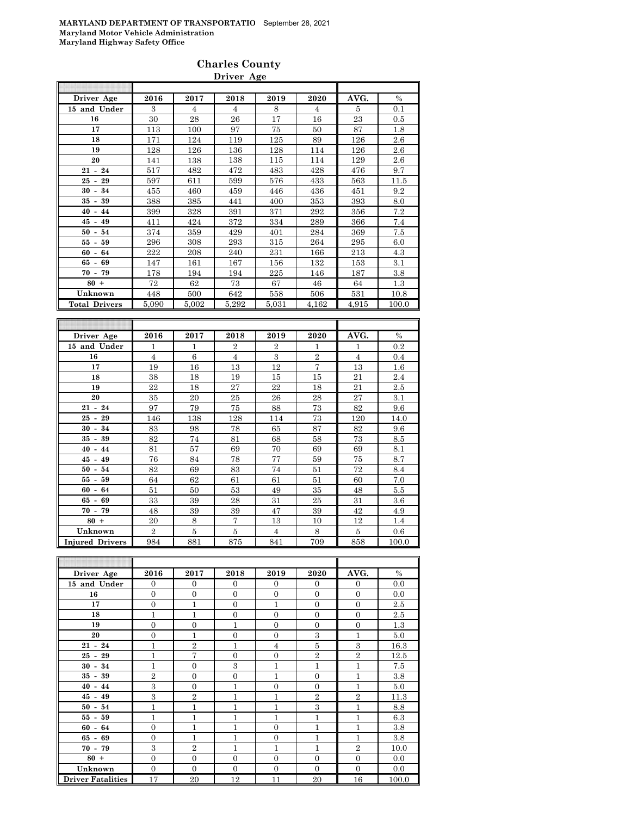|                      |                |                | Driver Age     |                  |                |                |       |
|----------------------|----------------|----------------|----------------|------------------|----------------|----------------|-------|
| Driver Age           | 2016           | 2017           | 2018           | 2019             | 2020           | AVG.           | $\%$  |
| 15 and Under         | 3              | $\overline{4}$ |                | 8                |                | 5              |       |
| 16                   | 30             | 28             | 4<br>26        | 17               | 4              | 23             | 0.1   |
| 17                   |                |                |                |                  | 16             |                | 0.5   |
|                      | 113            | 100            | 97             | 75               | 50             | 87             | 1.8   |
| 18                   | 171            | 124            | 119            | 125              | 89             | 126            | 2.6   |
| 19                   | 128            | 126            | 136            | 128              | 114            | 126            | 2.6   |
| 20                   | 141            | 138            | 138            | 115              | 114            | 129            | 2.6   |
| $21 - 24$            | 517            | 482            | 472            | 483              | 428            | 476            | 9.7   |
| $25 - 29$            | 597            | 611            | 599            | 576              | 433            | 563            | 11.5  |
| $30 - 34$            | 455            | 460            | 459            | 446              | 436            | 451            | 9.2   |
| $35 - 39$            | 388            | 385            | 441            | 400              | 353            | 393            | 8.0   |
| $40 - 44$            | 399            | 328            | 391            | 371              | 292            | 356            | 7.2   |
| $45 - 49$            | 411            | 424            | 372            | 334              | 289            | 366            | 7.4   |
| $50 - 54$            | 374            | 359            | 429            | 401              | 284            | 369            | 7.5   |
| $55 - 59$            | 296            | 308            | 293            | 315              | 264            | 295            | 6.0   |
| $60 - 64$            | 222            | 208            | 240            | 231              | 166            | 213            | 4.3   |
| $65 - 69$            | 147            | 161            | 167            | 156              | 132            | 153            | 3.1   |
| $70 - 79$            | 178            | 194            | 194            | 225              | 146            | 187            | 3.8   |
| $80 +$               | 72             | 62             | 73             | 67               | 46             | 64             | 1.3   |
| Unknown              | 448            | 500            | 642            | 558              | 506            | 531            | 10.8  |
| <b>Total Drivers</b> | 5,090          | 5,002          | 5,292          | 5,031            | 4,162          | 4,915          | 100.0 |
|                      |                |                |                |                  |                |                |       |
|                      |                |                |                |                  |                |                |       |
| Driver Age           | 2016           | 2017           | 2018           | 2019             | 2020           | AVG.           | $\%$  |
| 15 and Under         | 1              | 1              | $\overline{2}$ | $\boldsymbol{2}$ | 1              | 1              | 0.2   |
| 16                   | $\overline{4}$ | 6              | $\overline{4}$ | $\overline{3}$   | $\overline{2}$ | $\overline{4}$ | 0.4   |
| 17                   | 19             | 16             | 13             | 12               | $\overline{7}$ | 13             | 1.6   |
| 18                   | 38             | 18             | 19             | 15               | 15             | 21             | 2.4   |
| 19                   | 22             | 18             | 27             | 22               | 18             | 21             | 2.5   |
| 20                   | 35             | 20             | 25             | 26               | 28             | 27             | 3.1   |
| $21 - 24$            | 97             | 79             | 75             | 88               | 73             | 82             | 9.6   |
| $25 - 29$            | 146            | 138            | 128            | 114              | 73             | 120            | 14.0  |
| $30 - 34$            | 83             | 98             | 78             | 65               | 87             | 82             | 9.6   |
| $35 - 39$            | 82             | 74             | 81             | 68               | 58             | 73             | 8.5   |
| $40 - 44$            | 81             | 57             | 69             | 70               | 69             | 69             | 8.1   |
| $45 - 49$            | 76             | 84             | 78             | 77               | 59             | 75             | 8.7   |
| $50 - 54$            | 82             | 69             | 83             | 74               | 51             | 72             | 8.4   |

**55 - 59** 64 62 61 61 51 60 7.0 **60 - 64 51** 50 53 49 35 48 5.5 **65 - 69** | 33 | 39 | 28 | 31 | 25 || 31 | 3.6 **70 - 79** | 48 | 39 | 39 | 47 | 39 || 42 | 4.9 **80 +** 20 | 8 | 7 | 13 | 10 || 12 | 1.4

| Unknown                  | $\overline{2}$ | 5              | 5                | $\overline{4}$ | 8              | 5              | $0.6\,$ |
|--------------------------|----------------|----------------|------------------|----------------|----------------|----------------|---------|
| <b>Injured Drivers</b>   | 984            | 881            | 875              | 841            | 709            | 858            | 100.0   |
|                          |                |                |                  |                |                |                |         |
|                          |                |                |                  |                |                |                |         |
| Driver Age               | 2016           | 2017           | 2018             | 2019           | 2020           | AVG.           | $\%$    |
| 15 and Under             | $\mathbf{0}$   | $\mathbf{0}$   | $\overline{0}$   | $\theta$       | $\mathbf{0}$   | $\overline{0}$ | 0.0     |
| 16                       | $\theta$       | $\Omega$       | $\overline{0}$   | $\Omega$       | $\overline{0}$ | $\overline{0}$ | 0.0     |
| 17                       | $\overline{0}$ | 1              | $\boldsymbol{0}$ | $\mathbf{1}$   | $\overline{0}$ | $\overline{0}$ | 2.5     |
| 18                       | $\mathbf{1}$   | $\mathbf{1}$   | $\mathbf{0}$     | $\overline{0}$ | $\overline{0}$ | $\overline{0}$ | 2.5     |
| 19                       | $\overline{0}$ | $\overline{0}$ | $\mathbf{1}$     | $\Omega$       | $\Omega$       | $\overline{0}$ | $1.3\,$ |
| 20                       | $\overline{0}$ | 1              | $\mathbf{0}$     | $\Omega$       | 3              | $\mathbf{1}$   | 5.0     |
| $21 - 24$                | $\mathbf{1}$   | $\overline{2}$ | $\mathbf{1}$     | $\overline{4}$ | 5              | 3              | 16.3    |
| $25 - 29$                | $\mathbf{1}$   | 7              | $\overline{0}$   | $\overline{0}$ | $\overline{2}$ | $\overline{2}$ | 12.5    |
| $30 - 34$                | $\mathbf{1}$   | $\Omega$       | 3                | $\mathbf{1}$   | 1              | $\mathbf{1}$   | 7.5     |
| $35 - 39$                | $\overline{2}$ | $\overline{0}$ | $\overline{0}$   | $\mathbf{1}$   | $\overline{0}$ | $\overline{1}$ | $3.8\,$ |
| $40 - 44$                | 3              | $\mathbf{0}$   | $\mathbf{1}$     | $\theta$       | $\overline{0}$ | 1              | 5.0     |
| $45 - 49$                | 3              | $\overline{2}$ | 1                | $\mathbf{1}$   | $\overline{2}$ | $\overline{2}$ | 11.3    |
| $50 - 54$                | $\mathbf{1}$   | $\mathbf{1}$   | $\mathbf{1}$     | $\mathbf{1}$   | 3              | $\mathbf{1}$   | 8.8     |
| $55 - 59$                | $\mathbf{1}$   | 1              | $\mathbf{1}$     | $\mathbf{1}$   | 1              | $\mathbf{1}$   | 6.3     |
| $60 - 64$                | $\overline{0}$ | 1              | $\mathbf{1}$     | $\Omega$       | 1              | $\mathbf{1}$   | 3.8     |
| $65 - 69$                | $\overline{0}$ | 1              | $\mathbf{1}$     | $\Omega$       | $\overline{1}$ | $\mathbf{1}$   | 3.8     |
| $70 - 79$                | 3              | $\overline{2}$ | $\mathbf{1}$     | 1              | 1              | $\overline{2}$ | 10.0    |
| $80 +$                   | $\overline{0}$ | $\overline{0}$ | $\boldsymbol{0}$ | $\Omega$       | $\overline{0}$ | $\overline{0}$ | 0.0     |
| Unknown                  | $\overline{0}$ | $\mathbf{0}$   | $\overline{0}$   | $\Omega$       | $\overline{0}$ | $\overline{0}$ | $0.0\,$ |
| <b>Driver Fatalities</b> | 17             | 20             | 12               | 11             | 20             | 16             | 100.0   |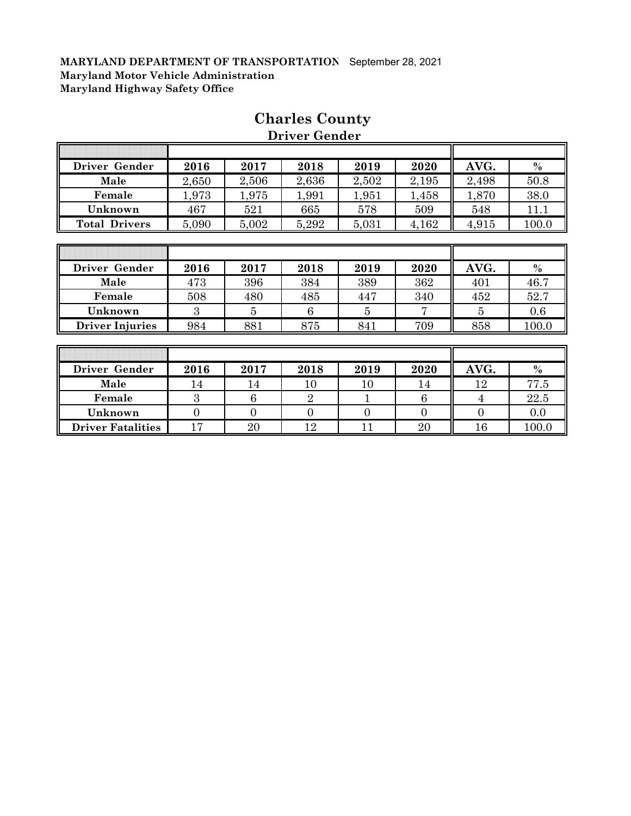| Driver Gender        | 2016  | 2017  | 2018  | 2019  | 2020  | AVG.  | $\%$  |
|----------------------|-------|-------|-------|-------|-------|-------|-------|
| Male                 | 2,650 | 2,506 | 2,636 | 2,502 | 2,195 | 2,498 | 50.8  |
| Female               | .973  | 1,975 | 1,991 | 1,951 | 1,458 | 1,870 | 38.0  |
| Unknown              | 467   | 521   | 665   | 578   | 509   | 548   | 11.1  |
| <b>Total Drivers</b> | 5,090 | 5,002 | 5,292 | 5,031 | 4,162 | 4,915 | 100.0 |

# **Charles County**

 **Driver Gender**

| Driver Gender          | 2016 | 2017 | 2018 | 2019 | 2020 | AVG. | $\%$  |
|------------------------|------|------|------|------|------|------|-------|
| Male                   | 473  | 396  | 384  | 389  | 362  | 401  | 46.7  |
| Female                 | 508  | 480  | 485  | 447  | 340  | 452  | 52.7  |
| Unknown                |      |      |      |      |      |      | 0.6   |
| <b>Driver Injuries</b> | 984  | 881  | 875  | 841  | 709  | 858  | 100.0 |

| Driver Gender            | 2016 | 2017 | 2018 | 2019 | 2020 | AVG. | $\%$  |
|--------------------------|------|------|------|------|------|------|-------|
| Male                     | 14   |      | ΙU   |      | 14   | 12   | 77.5  |
| Female                   |      |      |      |      |      |      | 22.5  |
| Unknown                  |      |      |      |      |      |      | 0.0   |
| <b>Driver Fatalities</b> |      | 20   |      |      | 20   | 16   | 100.0 |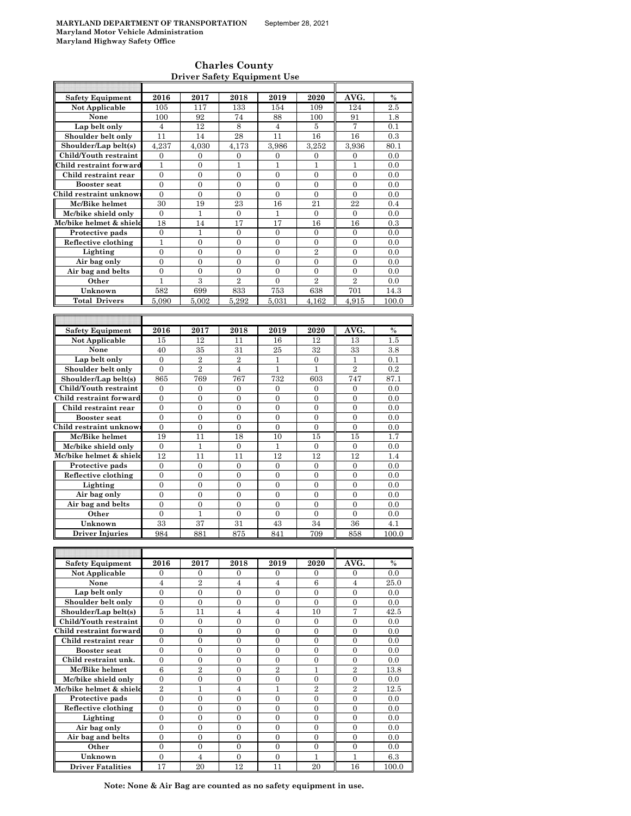h

### **Charles County Driver Safety Equipment Use**

| <b>Safety Equipment</b>  | 2016             | 2017             | 2018             | 2019             | 2020             | AVG.             | $\%$    |
|--------------------------|------------------|------------------|------------------|------------------|------------------|------------------|---------|
| Not Applicable           | 105              | 117              | 133              | 154              | 109              | 124              | 2.5     |
| None                     | 100              | 92               | 74               | 88               | 100              | 91               | 1.8     |
|                          |                  |                  |                  |                  |                  |                  |         |
| Lap belt only            | $\overline{4}$   | 12               | 8                | $\overline{4}$   | 5                | $\overline{7}$   | 0.1     |
| Shoulder belt only       | 11               | 14               | 28               | 11               | 16               | 16               | 0.3     |
| Shoulder/Lap belt(s)     | 4,237            | 4,030            | 4,173            | 3.986            | 3,252            | 3,936            | 80.1    |
| Child/Youth restraint    | 0                | $\mathbf{0}$     | 0                | 0                | $\mathbf{0}$     | $\mathbf{0}$     | 0.0     |
| Child restraint forward  | $\mathbf{1}$     | $\theta$         | $\mathbf{1}$     | $\mathbf{1}$     | $\mathbf{1}$     | $\mathbf{1}$     | 0.0     |
|                          |                  |                  |                  |                  |                  |                  |         |
| Child restraint rear     | $\boldsymbol{0}$ | $\boldsymbol{0}$ | 0                | 0                | $\mathbf{0}$     | 0                | 0.0     |
| <b>Booster seat</b>      | $\mathbf{0}$     | $\overline{0}$   | $\overline{0}$   | $\overline{0}$   | $\overline{0}$   | $\overline{0}$   | 0.0     |
| Child restraint unknow:  | $\mathbf{0}$     | $\mathbf{0}$     | $\mathbf{0}$     | $\mathbf{0}$     | $\mathbf{0}$     | $\mathbf{0}$     | 0.0     |
| Mc/Bike helmet           | 30               | 19               | 23               | 16               | 21               | 22               | 0.4     |
| Mc/bike shield only      | $\boldsymbol{0}$ | 1                | $\boldsymbol{0}$ | 1                | $\boldsymbol{0}$ | $\boldsymbol{0}$ | 0.0     |
| Mc/bike helmet & shield  |                  | 14               |                  |                  |                  |                  |         |
|                          | 18               |                  | 17               | 17               | 16               | 16               | 0.3     |
| Protective pads          | $\mathbf{0}$     | $\mathbf{1}$     | $\mathbf{0}$     | $\mathbf{0}$     | $\mathbf{0}$     | $\overline{0}$   | 0.0     |
| Reflective clothing      | 1                | $\boldsymbol{0}$ | $\boldsymbol{0}$ | $\boldsymbol{0}$ | $\boldsymbol{0}$ | $\boldsymbol{0}$ | 0.0     |
| Lighting                 | $\mathbf{0}$     | $\mathbf{0}$     | $\overline{0}$   | $\overline{0}$   | $\overline{2}$   | $\overline{0}$   | 0.0     |
| Air bag only             | $\overline{0}$   | $\overline{0}$   | $\overline{0}$   | $\boldsymbol{0}$ | $\boldsymbol{0}$ | $\boldsymbol{0}$ | 0.0     |
| Air bag and belts        | $\mathbf{0}$     | $\overline{0}$   | $\mathbf{0}$     | $\overline{0}$   | $\overline{0}$   | $\overline{0}$   | 0.0     |
|                          |                  |                  |                  |                  |                  |                  |         |
| Other                    | 1                | 3                | $\overline{2}$   | $\overline{0}$   | $\overline{2}$   | $\overline{2}$   | 0.0     |
| Unknown                  | 582              | 699              | 833              | 753              | 638              | 701              | 14.3    |
| <b>Total Drivers</b>     | 5.090            | 5,002            | 5,292            | 5,031            | 4.162            | 4.915            | 100.0   |
|                          |                  |                  |                  |                  |                  |                  |         |
|                          |                  |                  |                  |                  |                  |                  |         |
|                          |                  |                  |                  |                  |                  |                  |         |
| Safety Equipment         | 2016             | 2017             | 2018             | 2019             | 2020             | AVG.             | $\%$    |
| Not Applicable           | 15               | 12               | 11               | 16               | 12               | 13               | 1.5     |
| None                     | 40               | 35               | 31               | 25               | 32               | 33               | 3.8     |
| Lap belt only            | $\mathbf{0}$     | $\overline{2}$   | $\overline{2}$   | 1                | $\mathbf{0}$     | 1                | 0.1     |
|                          |                  | $\overline{2}$   |                  |                  |                  | $\overline{2}$   |         |
| Shoulder belt only       | $\theta$         |                  | $\overline{4}$   | $\mathbf{1}$     | $\mathbf{1}$     |                  | 0.2     |
| Shoulder/Lap belt(s)     | 865              | 769              | 767              | 732              | 603              | 747              | 87.1    |
| Child/Youth restraint    | $\mathbf{0}$     | $\mathbf{0}$     | $\mathbf{0}$     | $\mathbf{0}$     | $\mathbf{0}$     | $\overline{0}$   | 0.0     |
| Child restraint forward  | $\mathbf{0}$     | $\mathbf{0}$     | $\mathbf{0}$     | $\mathbf{0}$     | $\mathbf{0}$     | $\overline{0}$   | 0.0     |
| Child restraint rear     | $\mathbf{0}$     | $\mathbf{0}$     | $\overline{0}$   | $\overline{0}$   | $\overline{0}$   | $\overline{0}$   | 0.0     |
|                          |                  |                  |                  |                  |                  |                  |         |
| <b>Booster seat</b>      | $\boldsymbol{0}$ | 0                | $\boldsymbol{0}$ | 0                | $\boldsymbol{0}$ | $\boldsymbol{0}$ | 0.0     |
| Child restraint unknow   | $\boldsymbol{0}$ | 0                | $\boldsymbol{0}$ | $\overline{0}$   | $\boldsymbol{0}$ | $\boldsymbol{0}$ | 0.0     |
| Mc/Bike helmet           | 19               | 11               | 18               | 10               | 15               | 15               | 1.7     |
| Mc/bike shield only      | $\boldsymbol{0}$ | 1                | 0                | 1                | $\boldsymbol{0}$ | $\boldsymbol{0}$ | 0.0     |
| Mc/bike helmet & shield  | 12               | 11               | 11               | 12               | 12               | 12               | 1.4     |
|                          |                  |                  |                  |                  |                  |                  |         |
| Protective pads          | $\boldsymbol{0}$ | $\boldsymbol{0}$ | $\boldsymbol{0}$ | 0                | $\mathbf{0}$     | 0                | 0.0     |
| Reflective clothing      | $\mathbf{0}$     | $\mathbf{0}$     | $\mathbf{0}$     | $\mathbf{0}$     | $\overline{0}$   | $\overline{0}$   | 0.0     |
| Lighting                 | $\mathbf{0}$     | $\mathbf{0}$     | $\mathbf{0}$     | $\overline{0}$   | $\overline{0}$   | $\overline{0}$   | 0.0     |
| Air bag only             | $\overline{0}$   | $\overline{0}$   | $\overline{0}$   | $\overline{0}$   | $\overline{0}$   | $\overline{0}$   | 0.0     |
| Air bag and belts        | $\boldsymbol{0}$ | $\boldsymbol{0}$ | $\boldsymbol{0}$ | $\boldsymbol{0}$ | $\overline{0}$   | $\boldsymbol{0}$ | 0.0     |
|                          |                  |                  |                  |                  |                  |                  |         |
| Other                    | 0                | 1                | 0                | 0                | $\mathbf{0}$     | $\mathbf{0}$     | 0.0     |
| Unknown                  | 33               | 37               | 31               | 43               | 34               | 36               | 4.1     |
| <b>Driver Injuries</b>   | 984              | 881              | 875              | 841              | 709              | 858              | 100.0   |
|                          |                  |                  |                  |                  |                  |                  |         |
|                          |                  |                  |                  |                  |                  |                  |         |
|                          |                  |                  |                  |                  |                  |                  |         |
| <b>Safety Equipment</b>  | 2016             | 2017             | 2018             | 2019             | 2020             | AVG.             | %       |
| Not Applicable           | 0                | 0                | 0                | 0                | 0                | $\mathbf{0}$     | 0.0     |
| None                     | $\overline{4}$   | 2                | $\overline{4}$   | $\overline{4}$   | 6                | $\overline{4}$   | 25.0    |
| Lap belt only            | $\boldsymbol{0}$ | $\overline{0}$   | $\overline{0}$   | $\overline{0}$   | $\overline{0}$   | $\boldsymbol{0}$ | 0.0     |
| Shoulder belt only       | $\mathbf{0}$     | $\boldsymbol{0}$ | $\boldsymbol{0}$ | $\boldsymbol{0}$ | $\mathbf{0}$     | $\boldsymbol{0}$ | 0.0     |
|                          |                  |                  |                  |                  |                  |                  |         |
| Shoulder/Lap belt(s)     | 5                | 11               | $\overline{4}$   | $\overline{4}$   | 10               | 7                | 42.5    |
| Child/Youth restraint    | $\boldsymbol{0}$ | $\boldsymbol{0}$ | $\boldsymbol{0}$ | $\boldsymbol{0}$ | $\boldsymbol{0}$ | $\boldsymbol{0}$ | 0.0     |
| Child restraint forward  | 0                | 0                | $\boldsymbol{0}$ | 0                | $\boldsymbol{0}$ | $\boldsymbol{0}$ | 0.0     |
| Child restraint rear     | $\boldsymbol{0}$ | $\boldsymbol{0}$ | $\boldsymbol{0}$ | $\boldsymbol{0}$ | $\boldsymbol{0}$ | $\boldsymbol{0}$ | 0.0     |
| Booster seat             | $\boldsymbol{0}$ | $\boldsymbol{0}$ | $\boldsymbol{0}$ | $\boldsymbol{0}$ | $\boldsymbol{0}$ | $\boldsymbol{0}$ | 0.0     |
| Child restraint unk.     | $\mathbf{0}$     | 0                | $\boldsymbol{0}$ |                  |                  |                  | 0.0     |
|                          |                  |                  |                  | 0                | $\mathbf{0}$     | 0                |         |
| Mc/Bike helmet           | 6                | $\overline{2}$   | $\boldsymbol{0}$ | $\overline{2}$   | 1                | $\overline{2}$   | 13.8    |
| Mc/bike shield only      | $\mathbf{0}$     | $\overline{0}$   | $\mathbf{0}$     | $\boldsymbol{0}$ | $\mathbf{0}$     | $\overline{0}$   | 0.0     |
| Mc/bike helmet & shield  | $\overline{2}$   | $\mathbf{1}$     | $\overline{4}$   | 1                | $\overline{2}$   | $\overline{2}$   | 12.5    |
| Protective pads          | $\boldsymbol{0}$ | 0                | $\boldsymbol{0}$ | $\boldsymbol{0}$ | $\overline{0}$   | $\overline{0}$   | 0.0     |
| Reflective clothing      | $\boldsymbol{0}$ | $\boldsymbol{0}$ | $\boldsymbol{0}$ | $\boldsymbol{0}$ | $\boldsymbol{0}$ | $\boldsymbol{0}$ | 0.0     |
|                          |                  |                  |                  |                  |                  |                  |         |
| Lighting                 | 0                | 0                | 0                | 0                | $\mathbf{0}$     | 0                | 0.0     |
| Air bag only             | $\overline{0}$   | $\overline{0}$   | $\overline{0}$   | $\overline{0}$   | $\overline{0}$   | $\overline{0}$   | 0.0     |
| Air bag and belts        | $\boldsymbol{0}$ | 0                | $\boldsymbol{0}$ | 0                | $\mathbf{0}$     | 0                | 0.0     |
| Other                    | $\mathbf{0}$     | $\mathbf{0}$     | $\boldsymbol{0}$ | $\boldsymbol{0}$ | $\boldsymbol{0}$ | $\boldsymbol{0}$ | 0.0     |
| Unknown                  | $\boldsymbol{0}$ | 4                | $\boldsymbol{0}$ | $\boldsymbol{0}$ | 1                | 1                | $6.3\,$ |
|                          |                  |                  |                  |                  |                  |                  |         |
| <b>Driver Fatalities</b> | 17               | 20               | 12               | 11               | 20               | 16               | 100.0   |

**Note: None & Air Bag are counted as no safety equipment in use.**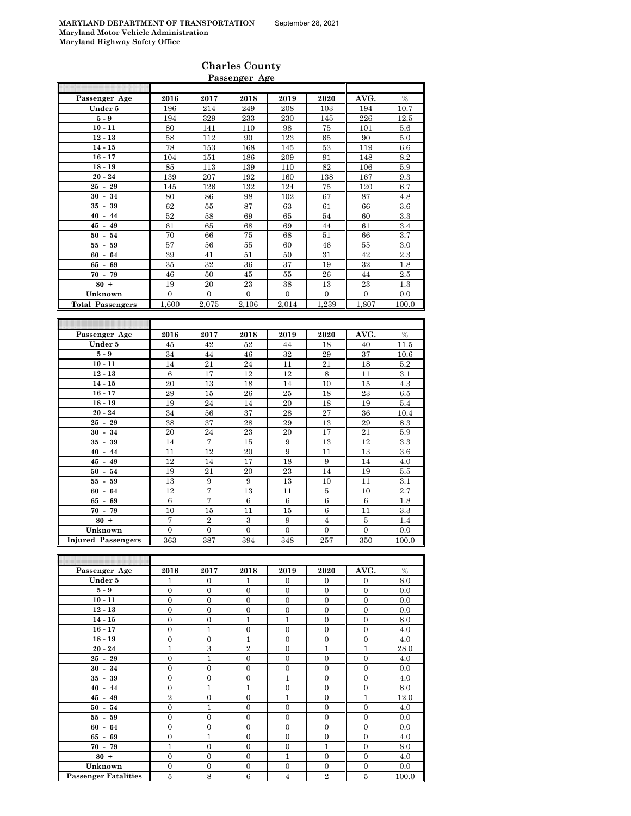|                          |                |                  | Passenger Age    |                  |                |                  |         |
|--------------------------|----------------|------------------|------------------|------------------|----------------|------------------|---------|
|                          |                |                  |                  |                  |                |                  |         |
| Passenger Age            | 2016           | 2017             | 2018             | 2019             | 2020           | AVG.             | $\%$    |
| Under 5                  | 196            | 214              | 249              | 208              | 103            | 194              | 10.7    |
| ${\bf 5}$ - ${\bf 9}$    | 194            | 329              | 233              | 230              | 145            | 226              | 12.5    |
| $10 - 11$                | 80             | 141              | 110              | 98               | 75             | 101              | 5.6     |
| $12 - 13$                | 58             | 112              | 90               | 123              | 65             | $90\,$           | 5.0     |
| $14 - 15$                | 78             | 153              | 168              | 145              | 53             | 119              | 6.6     |
| $16 - 17$                | 104            | 151              | 186              | 209              | 91             | 148              | 8.2     |
| $18 - 19$                | 85             | 113              | 139              | 110              | 82             | 106              | 5.9     |
| $20 - 24$                | 139            | 207              | 192              | 160              | 138            | 167              | 9.3     |
| $25 - 29$                | 145            | 126              | 132              | 124              | 75             | 120              | 6.7     |
| $30 - 34$                | 80             | 86               | 98               | 102              | 67             | 87               | 4.8     |
| $35 - 39$                | 62             | 55               | 87               | 63               | 61             | 66               | 3.6     |
| $40 - 44$                | 52             | 58               | 69               | 65               | 54             | 60               | 3.3     |
| $45 - 49$                | 61             | 65               | 68               | 69               | 44             | 61               | 3.4     |
| $50 - 54$                | 70             | 66               | 75               | 68               | 51             | 66               | 3.7     |
| 59<br>$55-$              | 57             | 56               | 55               | 60               | 46             | 55               | 3.0     |
| $60 - 64$                | 39             | 41               | 51               | 50               | 31             | 42               | 2.3     |
| $65 - 69$                | 35             | 32               | 36               | 37               | 19             | 32               | 1.8     |
| $70 -$<br>79             | 46             | 50               | 45               | 55               | 26             | 44               | 2.5     |
| $80 +$                   | 19             | $\rm 20$         | $\bf 23$         | 38               | $13\,$         | $\bf 23$         | 1.3     |
| Unknown                  | $\mathbf{0}$   | $\boldsymbol{0}$ | $\boldsymbol{0}$ | $\boldsymbol{0}$ | $\mathbf{0}$   | $\boldsymbol{0}$ | 0.0     |
| <b>Total Passengers</b>  | 1.600          | 2.075            | 2.106            | 2.014            | 1.239          | 1.807            | 100.0   |
|                          |                |                  |                  |                  |                |                  |         |
|                          |                |                  |                  |                  |                |                  |         |
|                          |                |                  |                  |                  |                |                  |         |
|                          | 2016           | 2017             | 2018             | 2019             | 2020           |                  | $\%$    |
| Passenger Age<br>Under 5 | 45             | 42               | 52               | 44               | 18             | AVG.<br>40       | 11.5    |
| ${\bf 5}$ - ${\bf 9}$    | 34             | 44               | 46               | 32               | 29             | 37               | 10.6    |
| $10 - 11$                | 14             | 21               | 24               | 11               | 21             | 18               | 5.2     |
| $12 - 13$                | 6              | 17               | 12               | 12               | 8              | 11               | 3.1     |
|                          | 20             | 13               | 18               | 14               | 10             | 15               | 4.3     |
| $14 - 15$<br>$16 - 17$   | 29             | 15               | 26               | 25               | 18             | 23               | 6.5     |
| $18 - 19$                | 19             | 24               | 14               | 20               | 18             | 19               | 5.4     |
| $20 - 24$                | 34             | 56               | 37               | 28               | 27             | 36               | 10.4    |
| $25 - 29$                | 38             | 37               | 28               | 29               | 13             | 29               | 8.3     |
| $30 - 34$                | 20             | 24               | 23               | 20               | 17             | 21               | 5.9     |
| $35 - 39$                | 14             | 7                | 15               | 9                | 13             | 12               | 3.3     |
| $40 - 44$                | 11             | 12               | 20               | 9                | 11             | 13               | 3.6     |
| $45 - 49$                | 12             | 14               | 17               | 18               | 9              | 14               | 4.0     |
| $50 -$<br>${\bf 54}$     | 19             | 21               | 20               | 23               | 14             | 19               | $5.5\,$ |
| $55 -$<br>59             | 13             | 9                | 9                | 13               | 10             | 11               | 3.1     |
| 64<br>$60 -$             | 12             | 7                | 13               | 11               | $\bf 5$        | 10               | 2.7     |
| 69<br>65 -               | $\,6$          | 7                | $\,6$            | 6                | $\,6$          | $\,6$            | 1.8     |
| $70 - 79$                | 10             | 15               | 11               | 15               | 6              | 11               | 3.3     |
| $80 +$                   | 7              | $\overline{2}$   | $\,3$            | 9                | $\overline{4}$ | 5                | 1.4     |
| Unknown                  | $\overline{0}$ | $\overline{0}$   | $\overline{0}$   | $\overline{0}$   | $\overline{0}$ | $\overline{0}$   | 0.0     |

| Passenger Age               | 2016           | 2017           | 2018           | 2019           | 2020           | AVG.         | $\%$  |
|-----------------------------|----------------|----------------|----------------|----------------|----------------|--------------|-------|
| Under 5                     | 1              | $\Omega$       | $\mathbf{1}$   | $\Omega$       | $\Omega$       | $\mathbf{0}$ | 8.0   |
| $5-9$                       | $\overline{0}$ | $\mathbf{0}$   | $\mathbf{0}$   | $\mathbf{0}$   | $\mathbf{0}$   | $\mathbf{0}$ | 0.0   |
| $10 - 11$                   | $\overline{0}$ | $\overline{0}$ | $\overline{0}$ | $\overline{0}$ | $\overline{0}$ | $\mathbf{0}$ | 0.0   |
| $12 - 13$                   | $\mathbf{0}$   | $\overline{0}$ | $\overline{0}$ | $\mathbf{0}$   | $\mathbf{0}$   | $\mathbf{0}$ | 0.0   |
| $14 - 15$                   | $\mathbf{0}$   | $\overline{0}$ | 1              | 1              | $\overline{0}$ | $\mathbf{0}$ | 8.0   |
| $16 - 17$                   | $\overline{0}$ | 1              | $\overline{0}$ | $\mathbf{0}$   | $\mathbf{0}$   | $\mathbf{0}$ | 4.0   |
| $18 - 19$                   | $\overline{0}$ | $\overline{0}$ | $\mathbf{1}$   | $\overline{0}$ | $\overline{0}$ | $\mathbf{0}$ | 4.0   |
| $20 - 24$                   | 1              | 3              | $\overline{2}$ | $\mathbf{0}$   | 1              | $\mathbf{1}$ | 28.0  |
| $25 - 29$                   | $\overline{0}$ | 1              | $\overline{0}$ | $\mathbf{0}$   | $\overline{0}$ | $\mathbf{0}$ | 4.0   |
| $30 - 34$                   | $\mathbf{0}$   | $\overline{0}$ | $\mathbf{0}$   | $\mathbf{0}$   | $\mathbf{0}$   | $\mathbf{0}$ | 0.0   |
| $35 - 39$                   | $\mathbf{0}$   | $\overline{0}$ | $\overline{0}$ | 1              | $\Omega$       | $\mathbf{0}$ | 4.0   |
| $40 - 44$                   | $\mathbf{0}$   | 1              | $\mathbf{1}$   | $\mathbf{0}$   | $\mathbf{0}$   | $\mathbf{0}$ | 8.0   |
| $45 - 49$                   | $\overline{2}$ | $\overline{0}$ | $\overline{0}$ | 1              | $\overline{0}$ | 1            | 12.0  |
| $50 - 54$                   | $\overline{0}$ | $\overline{1}$ | $\overline{0}$ | $\mathbf{0}$   | $\overline{0}$ | $\mathbf{0}$ | 4.0   |
| $55 - 59$                   | $\overline{0}$ | $\overline{0}$ | $\overline{0}$ | $\overline{0}$ | $\overline{0}$ | $\Omega$     | 0.0   |
| $60 - 64$                   | $\overline{0}$ | $\overline{0}$ | $\mathbf{0}$   | $\Omega$       | $\Omega$       | $\Omega$     | 0.0   |
| $65 - 69$                   | $\overline{0}$ | 1              | $\overline{0}$ | $\mathbf{0}$   | $\overline{0}$ | $\mathbf{0}$ | 4.0   |
| $70 - 79$                   | 1              | $\overline{0}$ | $\overline{0}$ | $\mathbf{0}$   | 1              | $\Omega$     | 8.0   |
| $80 +$                      | $\mathbf{0}$   | $\overline{0}$ | $\overline{0}$ | 1              | $\Omega$       | $\mathbf{0}$ | 4.0   |
| Unknown                     | $\Omega$       | $\Omega$       | $\overline{0}$ | $\mathbf{0}$   | $\Omega$       | $\Omega$     | 0.0   |
| <b>Passenger Fatalities</b> | 5              | 8              | 6              | $\overline{4}$ | $\overline{2}$ | 5            | 100.0 |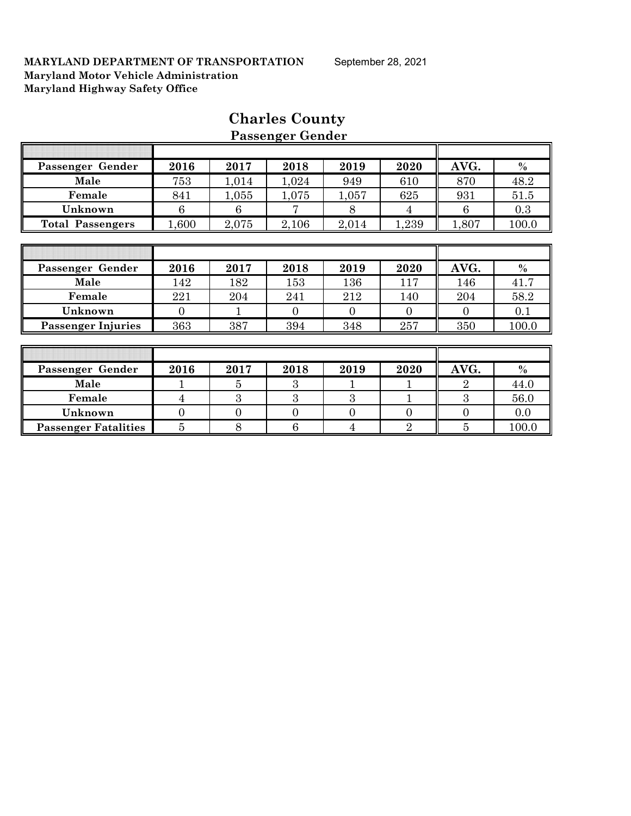| Passenger Gender            | 2016     | 2017           | 2018           | 2019           | 2020           | AVG.           | $\%$  |
|-----------------------------|----------|----------------|----------------|----------------|----------------|----------------|-------|
| Male                        | 753      | 1,014          | 1,024          | 949            | 610            | 870            | 48.2  |
| Female                      | 841      | 1,055          | 1,075          | 1,057          | 625            | 931            | 51.5  |
| Unknown                     | 6        | 6              |                | 8              | 4              | 6              | 0.3   |
| <b>Total Passengers</b>     | 1,600    | 2,075          | 2,106          | 2,014          | 1,239          | 1,807          | 100.0 |
|                             |          |                |                |                |                |                |       |
|                             |          |                |                |                |                |                |       |
| Passenger Gender            | 2016     | 2017           | 2018           | 2019           | 2020           | AVG.           | $\%$  |
| Male                        | 142      | 182            | 153            | 136            | 117            | 146            | 41.7  |
| Female                      | 221      | 204            | 241            | 212            | 140            | 204            | 58.2  |
| Unknown                     | $\Omega$ |                | $\Omega$       | $\Omega$       | $\Omega$       | $\Omega$       | 0.1   |
| <b>Passenger Injuries</b>   | 363      | 387            | 394            | 348            | 257            | 350            | 100.0 |
|                             |          |                |                |                |                |                |       |
|                             |          |                |                |                |                |                |       |
| Passenger Gender            | 2016     | 2017           | 2018           | 2019           | 2020           | AVG.           | $\%$  |
| Male                        |          | 5              | 3              | 1              |                | $\overline{2}$ | 44.0  |
| Female                      | 4        | 3              | 3              | 3              |                | 3              | 56.0  |
| Unknown                     | $\Omega$ | $\overline{0}$ | $\overline{0}$ | $\overline{0}$ | $\Omega$       | $\Omega$       | 0.0   |
| <b>Passenger Fatalities</b> | 5        | 8              | 6              | 4              | $\overline{2}$ | $\overline{5}$ | 100.0 |

# **Charles County Passenger Gender**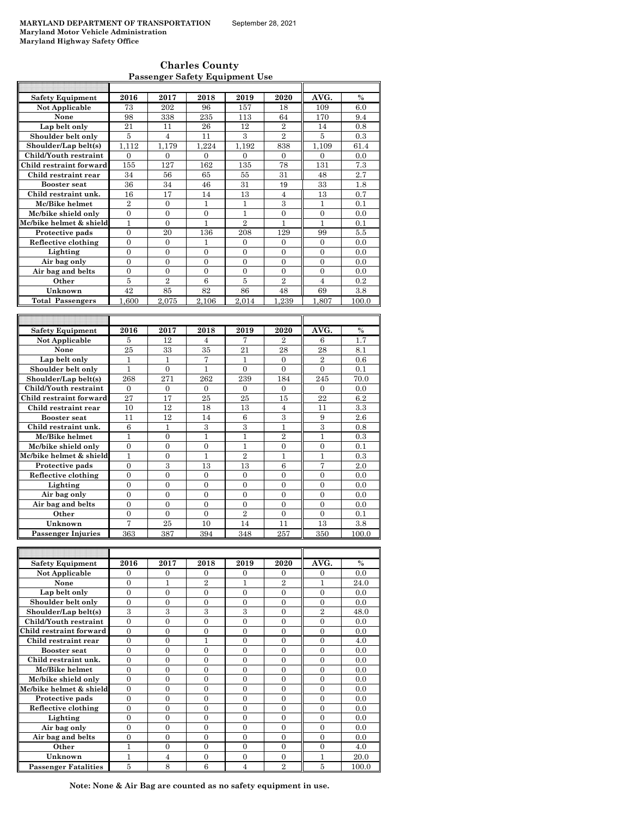**Charles County Passenger Safety Equipment Use**

| <b>Safety Equipment</b>                        | 2016             | 2017             | 2018           | 2019             | 2020             | AVG.           | %             |
|------------------------------------------------|------------------|------------------|----------------|------------------|------------------|----------------|---------------|
| Not Applicable                                 | 73               | 202              | 96             | 157              | 18               | 109            | 6.0           |
| None                                           | 98               | 338              | 235            | 113              | 64               | 170            | 9.4           |
| Lap belt only                                  | 21               | 11               | 26             | 12               | $\overline{2}$   | 14             | 0.8           |
| Shoulder belt only                             | 5                | $\overline{4}$   | 11             | $\mathcal{S}$    | $\overline{2}$   | 5              | 0.3           |
| Shoulder/Lap belt(s)                           | 1,112            | 1,179            | 1,224          | 1,192            | 838              | 1,109          | 61.4          |
| Child/Youth restraint                          | $\Omega$         | $\Omega$         | $\Omega$       | $\Omega$         | $\Omega$         | $\Omega$       | 0.0           |
| Child restraint forward                        | 155              | 127              | 162            | 135              | 78               | 131            | $7.3\,$       |
| Child restraint rear                           | 34               | 56               | 65             | 55               | 31               | 48             | 2.7           |
| <b>Booster seat</b>                            | 36               | 34               | 46             | 31               | 19               | 33             | 1.8           |
| Child restraint unk.                           | 16               | 17               | 14             | 13               | $\overline{4}$   | 13             | 0.7           |
| Mc/Bike helmet                                 | $\overline{2}$   | $\overline{0}$   | 1              | $\mathbf{1}$     | 3                | 1              | 0.1           |
| Mc/bike shield only                            | $\overline{0}$   | $\Omega$         | 0              | 1                | $\mathbf{0}$     | $\overline{0}$ | 0.0           |
| Mc/bike helmet & shield                        | $\mathbf{1}$     | $\overline{0}$   | $\overline{1}$ | $\overline{2}$   | $\mathbf{1}$     | $\mathbf{1}$   | 0.1           |
| Protective pads                                | $\overline{0}$   | 20               | 136            | 208              | 129              | 99             | 5.5           |
| Reflective clothing                            | $\boldsymbol{0}$ | $\boldsymbol{0}$ | 1              | $\boldsymbol{0}$ | 0                | $\overline{0}$ | 0.0           |
| Lighting                                       | $\overline{0}$   | $\overline{0}$   | $\overline{0}$ | $\mathbf{0}$     | $\mathbf{0}$     | $\overline{0}$ | 0.0           |
| Air bag only                                   | $\overline{0}$   | $\boldsymbol{0}$ | 0              | $\mathbf{0}$     | $\mathbf{0}$     | $\overline{0}$ | 0.0           |
| Air bag and belts                              | $\theta$         | $\theta$         | $\theta$       | $\theta$         | $\theta$         | $\theta$       | 0.0           |
| Other                                          | 5                | $\overline{2}$   | $\overline{6}$ | $\overline{5}$   | $\overline{2}$   | $\overline{4}$ | 0.2           |
| Unknown                                        | 42               | 85               | 82             | 86               | 48               | 69             | 3.8           |
| <b>Total Passengers</b>                        | 1.600            | 2.075            | 2.106          | 2.014            | 1.239            | 1.807          | 100.0         |
|                                                |                  |                  |                |                  |                  |                |               |
|                                                |                  |                  |                |                  |                  |                |               |
| <b>Safety Equipment</b>                        | 2016             | 2017             | 2018           | 2019             | 2020             | AVG.           | $\frac{0}{0}$ |
| Not Applicable                                 | 5                | 12               | 4              | 7                | 2                | 6              | 1.7           |
| None                                           | 25               | 33               | 35             | 21               | 28               | 28             | 8.1           |
| Lap belt only                                  | $\mathbf{1}$     | $\mathbf{1}$     | 7              | 1                | $\mathbf{0}$     | $\overline{2}$ | 0.6           |
| Shoulder belt only                             | $\mathbf{1}$     | $\boldsymbol{0}$ | 1              | $\mathbf{0}$     | $\mathbf{0}$     | $\overline{0}$ | 0.1           |
| Shoulder/Lap belt(s)                           | 268              | 271              | 262            | 239              | 184              | 245            | 70.0          |
| Child/Youth restraint                          | $\boldsymbol{0}$ | $\boldsymbol{0}$ | $\mathbf{0}$   | $\mathbf{0}$     | 0                | 0              | 0.0           |
| Child restraint forward                        | 27               | 17               | 25             | 25               | 15               | 22             | 6.2           |
| Child restraint rear                           | 10               | 12               | 18             | 13               | $\overline{4}$   | 11             | 3.3           |
| <b>Booster seat</b><br>Child restraint unk.    | 11               | 12               | 14<br>3        | 6<br>3           | 3                | 9<br>3         | 2.6           |
|                                                | 6                | $\mathbf{1}$     |                |                  | $\mathbf{1}$     |                | 0.8           |
| Mc/Bike helmet                                 | $\mathbf{1}$     | $\overline{0}$   | $\mathbf{1}$   | 1                | $\overline{2}$   | $\mathbf{1}$   | 0.3           |
| Mc/bike shield only<br>Mc/bike helmet & shield |                  |                  |                |                  |                  |                |               |
|                                                | $\theta$         | $\theta$         | $\theta$       | $\mathbf{1}$     | $\theta$         | $\Omega$       | 0.1           |
|                                                | $\mathbf{1}$     | $\boldsymbol{0}$ | $\overline{1}$ | $\overline{2}$   | $\mathbf{1}$     | $\mathbf{1}$   | 0.3           |
| Protective pads                                | $\overline{0}$   | 3                | 13             | 13               | 6                | 7              | 2.0           |
| Reflective clothing                            | $\overline{0}$   | $\overline{0}$   | $\overline{0}$ | $\mathbf{0}$     | $\overline{0}$   | $\overline{0}$ | 0.0           |
| Lighting                                       | $\overline{0}$   | $\overline{0}$   | $\overline{0}$ | $\mathbf{0}$     | $\mathbf{0}$     | $\mathbf{0}$   | 0.0           |
| Air bag only                                   | $\overline{0}$   | $\overline{0}$   | $\overline{0}$ | $\overline{0}$   | $\overline{0}$   | $\overline{0}$ | 0.0           |
| Air bag and belts                              | $\overline{0}$   | $\overline{0}$   | $\theta$       | $\mathbf{0}$     | $\Omega$         | $\Omega$       | 0.0           |
| Other                                          | $\boldsymbol{0}$ | $\overline{0}$   | $\overline{0}$ | $\overline{2}$   | $\boldsymbol{0}$ | $\overline{0}$ | 0.1           |
| Unknown<br><b>Passenger Injuries</b>           | 7<br>363         | 25<br>387        | 10<br>394      | 14<br>348        | 11<br>257        | 13<br>350      | 3.8<br>100.0  |

| <b>Safety Equipment</b>     | 2016     | 2017           | 2018           | 2019     | 2020           | AVG.           | $\frac{0}{0}$ |
|-----------------------------|----------|----------------|----------------|----------|----------------|----------------|---------------|
| Not Applicable              | $\Omega$ | $\Omega$       | $\Omega$       | $\Omega$ | $\Omega$       | $\Omega$       | 0.0           |
| None                        | $\Omega$ | 1              | $\overline{2}$ | 1        | $\overline{2}$ |                | 24.0          |
| Lap belt only               | $\Omega$ | $\theta$       | $\theta$       | $\theta$ | $\Omega$       | $\Omega$       | 0.0           |
| Shoulder belt only          | $\Omega$ | $\Omega$       | $\Omega$       | $\Omega$ | $\Omega$       | $\Omega$       | 0.0           |
| Shoulder/Lap belt(s)        | 3        | 3              | 3              | 3        | $\Omega$       | $\overline{2}$ | 48.0          |
| Child/Youth restraint       | $\Omega$ | 0              | 0              | $\Omega$ | 0              | $\theta$       | 0.0           |
| Child restraint forward     | $\Omega$ | $\Omega$       | $\Omega$       | $\Omega$ | $\Omega$       | $\Omega$       | 0.0           |
| Child restraint rear        | $\Omega$ | $\overline{0}$ | 1              | $\theta$ | $\Omega$       | $\Omega$       | 4.0           |
| <b>Booster seat</b>         | $\Omega$ | $\Omega$       | $\theta$       | $\theta$ | $\Omega$       | $\Omega$       | 0.0           |
| Child restraint unk.        | $\Omega$ | $\Omega$       | $\Omega$       | $\Omega$ | $\Omega$       | $\Omega$       | 0.0           |
| Mc/Bike helmet              | $\Omega$ | $\Omega$       | $\Omega$       | $\theta$ | $\Omega$       | $\Omega$       | 0.0           |
| Mc/bike shield only         | $\theta$ | $\Omega$       | $\Omega$       | $\theta$ | $\Omega$       | $\Omega$       | 0.0           |
| Mc/bike helmet & shield     | $\Omega$ | $\Omega$       | $\Omega$       | $\theta$ | $\Omega$       | $\Omega$       | 0.0           |
| Protective pads             | $\Omega$ | $\Omega$       | $\Omega$       | $\theta$ | $\Omega$       | $\Omega$       | 0.0           |
| Reflective clothing         | $\theta$ | $\Omega$       | $\Omega$       | $\theta$ | $\Omega$       | $\Omega$       | 0.0           |
| Lighting                    | $\Omega$ | $\Omega$       | $\Omega$       | $\theta$ | $\Omega$       | $\Omega$       | 0.0           |
| Air bag only                | $\Omega$ | $\Omega$       | $\Omega$       | $\theta$ | $\Omega$       | $\Omega$       | 0.0           |
| Air bag and belts           | $\Omega$ | $\Omega$       | $\Omega$       | $\theta$ | $\Omega$       | $\Omega$       | 0.0           |
| Other                       | 1        | $\Omega$       | $\Omega$       | $\Omega$ | 0              | $\Omega$       | 4.0           |
| Unknown                     |          | 4              | $\Omega$       | $\Omega$ | $\Omega$       |                | 20.0          |
| <b>Passenger Fatalities</b> | 5        | 8              | 6              | 4        | $\overline{2}$ | 5              | 100.0         |

**Passenger Injuries** 

**Note: None & Air Bag are counted as no safety equipment in use.**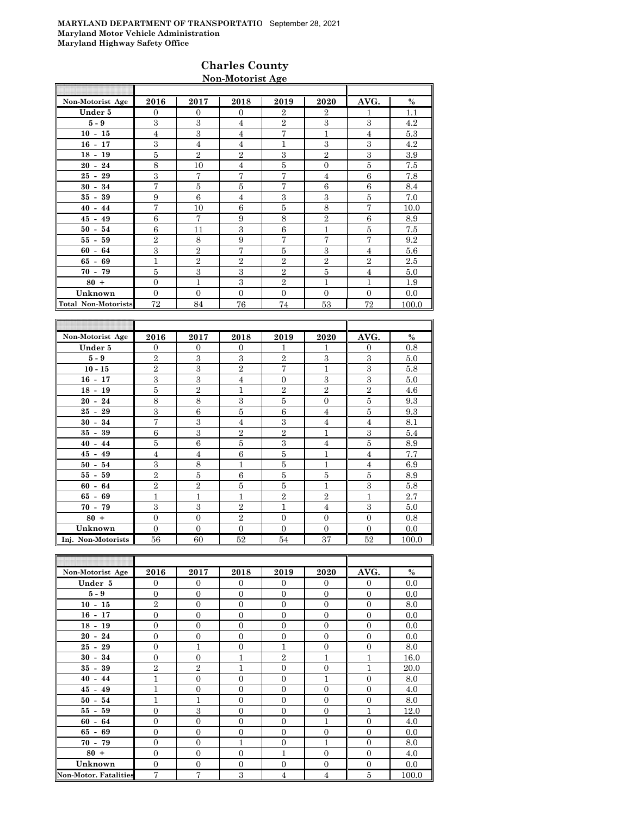### **Charles County Non-Motorist Age**

| Non-Motorist Age           | 2016           | 2017           | 2018           | 2019           | 2020           | AVG.         | $\%$  |
|----------------------------|----------------|----------------|----------------|----------------|----------------|--------------|-------|
| Under 5                    | $\Omega$       | $\Omega$       | $\Omega$       | $\overline{2}$ | $\overline{2}$ | 1            | 1.1   |
| $5-9$                      | 3              | 3              | $\overline{4}$ | $\overline{2}$ | 3              | 3            | 4.2   |
| $10 - 15$                  | $\overline{4}$ | 3              | $\overline{4}$ | 7              | 1              | 4            | 5.3   |
| $16 - 17$                  | 3              | $\overline{4}$ | $\overline{4}$ | 1              | 3              | 3            | 4.2   |
| $18 - 19$                  | 5              | $\overline{2}$ | $\mathbf{2}$   | 3              | $\mathbf{2}$   | 3            | 3.9   |
| $20 - 24$                  | 8              | 10             | $\overline{4}$ | 5              | $\overline{0}$ | 5            | 7.5   |
| $25 - 29$                  | 3              | 7              | 7              | 7              | $\overline{4}$ | 6            | 7.8   |
| 34<br>$30 -$               | $\overline{7}$ | 5              | 5              | 7              | 6              | 6            | 8.4   |
| $35 - 39$                  | 9              | 6              | $\overline{4}$ | 3              | 3              | 5            | 7.0   |
| $40 - 44$                  | $\overline{7}$ | 10             | 6              | 5              | 8              | 7            | 10.0  |
| $45 - 49$                  | 6              | $\overline{7}$ | 9              | 8              | $\overline{2}$ | 6            | 8.9   |
| $50 - 54$                  | 6              | 11             | 3              | 6              | 1              | 5            | 7.5   |
| $55 - 59$                  | $\overline{2}$ | 8              | 9              | $\overline{7}$ | 7              | 7            | 9.2   |
| $60 - 64$                  | 3              | $\overline{2}$ | 7              | 5              | 3              | 4            | 5.6   |
| $65 - 69$                  | 1              | $\overline{2}$ | $\mathbf{2}$   | $\overline{2}$ | $\overline{2}$ | $\mathbf{2}$ | 2.5   |
| $70 - 79$                  | 5              | 3              | 3              | $\overline{2}$ | 5              | 4            | 5.0   |
| $80 +$                     | $\overline{0}$ | $\mathbf{1}$   | 3              | $\overline{2}$ | 1              | 1            | 1.9   |
| Unknown                    | $\Omega$       | $\theta$       | $\Omega$       | $\Omega$       | $\overline{0}$ | $\Omega$     | 0.0   |
| <b>Total Non-Motorists</b> | 72             | 84             | 76             | 74             | 53             | 72           | 100.0 |

| Non-Motorist Age   | 2016           | 2017           | 2018           | 2019           | 2020           | AVG.           | $\%$  |
|--------------------|----------------|----------------|----------------|----------------|----------------|----------------|-------|
| Under 5            | $\Omega$       | $\Omega$       | $\Omega$       | 1              | 1              | $\Omega$       | 0.8   |
| $5 - 9$            | $\overline{2}$ | $\mathbf{a}$   | 3              | $\overline{2}$ | 3              | 3              | 5.0   |
| $10 - 15$          | $\overline{2}$ | 3              | $\overline{2}$ | 7              | $\mathbf{1}$   | 3              | 5.8   |
| $16 - 17$          | 3              | 3              | $\overline{4}$ | $\overline{0}$ | 3              | 3              | 5.0   |
| $18 - 19$          | 5              | $\overline{2}$ | 1              | $\overline{2}$ | $\overline{2}$ | $\overline{2}$ | 4.6   |
| $20 - 24$          | 8              | 8              | 3              | 5              | $\overline{0}$ | 5              | 9.3   |
| $25 - 29$          | 3              | 6              | 5              | 6              | $\overline{4}$ | 5              | 9.3   |
| $30 - 34$          | 7              | 3              | $\overline{4}$ | 3              | $\overline{4}$ | $\overline{4}$ | 8.1   |
| $35 -$<br>39       | 6              | 3              | $\overline{2}$ | $\overline{2}$ | $\mathbf{1}$   | 3              | 5.4   |
| $40 - 44$          | 5              | 6              | 5              | 3              | $\overline{4}$ | 5              | 8.9   |
| $45 - 49$          | $\overline{4}$ | $\overline{4}$ | 6              | 5              | $\mathbf{1}$   | $\overline{4}$ | 7.7   |
| $50 - 54$          | 3              | 8              | 1              | 5              | $\mathbf{1}$   | 4              | 6.9   |
| $55 - 59$          | $\overline{2}$ | 5              | 6              | 5              | 5              | 5              | 8.9   |
| $60 - 64$          | $\overline{2}$ | $\overline{2}$ | 5              | 5              | $\mathbf{1}$   | 3              | 5.8   |
| $65 - 69$          | 1              | $\mathbf{1}$   | 1              | $\overline{2}$ | $\overline{2}$ | $\mathbf{1}$   | 2.7   |
| $70 - 79$          | 3              | 3              | $\overline{2}$ | 1              | $\overline{4}$ | 3              | 5.0   |
| $80 +$             | $\overline{0}$ | $\theta$       | $\overline{2}$ | $\Omega$       | $\Omega$       | $\Omega$       | 0.8   |
| Unknown            | $\overline{0}$ | $\overline{0}$ | $\Omega$       | $\Omega$       | $\overline{0}$ | $\Omega$       | 0.0   |
| Inj. Non-Motorists | 56             | 60             | 52             | 54             | 37             | 52             | 100.0 |

| Non-Motorist Age             | 2016           | 2017           | 2018           | 2019           | 2020             | AVG.           | $\%$  |
|------------------------------|----------------|----------------|----------------|----------------|------------------|----------------|-------|
| Under 5                      | $\Omega$       | $\Omega$       | $\Omega$       | $\Omega$       | $\theta$         | $\Omega$       | 0.0   |
| $5-9$                        | $\overline{0}$ | $\overline{0}$ | $\Omega$       | $\mathbf{0}$   | $\mathbf{0}$     | $\mathbf{0}$   | 0.0   |
| $10 - 15$                    | $\overline{2}$ | $\overline{0}$ | $\overline{0}$ | $\overline{0}$ | $\mathbf{0}$     | $\mathbf{0}$   | 8.0   |
| $16 - 17$                    | $\overline{0}$ | $\mathbf{0}$   | $\overline{0}$ | $\mathbf{0}$   | $\overline{0}$   | $\mathbf{0}$   | 0.0   |
| $18 - 19$                    | $\overline{0}$ | $\overline{0}$ | $\Omega$       | $\Omega$       | $\mathbf{0}$     | $\overline{0}$ | 0.0   |
| $20 - 24$                    | $\Omega$       | $\overline{0}$ | $\Omega$       | $\Omega$       | $\overline{0}$   | $\Omega$       | 0.0   |
| $25 - 29$                    | $\mathbf{0}$   | $\mathbf{1}$   | $\overline{0}$ | 1              | $\mathbf{0}$     | $\overline{0}$ | 8.0   |
| $30 - 34$                    | $\overline{0}$ | $\overline{0}$ | 1              | $\overline{2}$ | $\mathbf{1}$     | $\mathbf{1}$   | 16.0  |
| $35 - 39$                    | $\overline{2}$ | $\overline{2}$ | $\overline{1}$ | $\mathbf{0}$   | $\overline{0}$   | $\mathbf{1}$   | 20.0  |
| $40 - 44$                    | 1              | $\mathbf{0}$   | $\overline{0}$ | $\mathbf{0}$   | $\mathbf{1}$     | $\overline{0}$ | 8.0   |
| $45 - 49$                    | 1              | $\overline{0}$ | $\Omega$       | $\Omega$       | $\mathbf{0}$     | $\Omega$       | 4.0   |
| $50 - 54$                    | 1              | $\mathbf{1}$   | $\overline{0}$ | $\mathbf{0}$   | $\mathbf{0}$     | $\overline{0}$ | 8.0   |
| $55 - 59$                    | $\overline{0}$ | 3              | $\overline{0}$ | $\mathbf{0}$   | $\boldsymbol{0}$ | 1              | 12.0  |
| $60 - 64$                    | $\overline{0}$ | $\overline{0}$ | $\overline{0}$ | $\mathbf{0}$   | $\mathbf{1}$     | $\mathbf{0}$   | 4.0   |
| $65 - 69$                    | $\overline{0}$ | $\overline{0}$ | $\overline{0}$ | $\overline{0}$ | $\boldsymbol{0}$ | $\overline{0}$ | 0.0   |
| $70 - 79$                    | $\Omega$       | $\Omega$       | 1              | $\Omega$       | $\mathbf{1}$     | $\Omega$       | 8.0   |
| $80 +$                       | $\mathbf{0}$   | $\overline{0}$ | $\Omega$       | 1              | $\mathbf{0}$     | $\Omega$       | 4.0   |
| Unknown                      | $\overline{0}$ | $\overline{0}$ | $\overline{0}$ | $\overline{0}$ | $\mathbf{0}$     | $\theta$       | 0.0   |
| <b>Non-Motor. Fatalities</b> | $\overline{7}$ | $\overline{7}$ | 3              | $\overline{4}$ | $\overline{4}$   | 5              | 100.0 |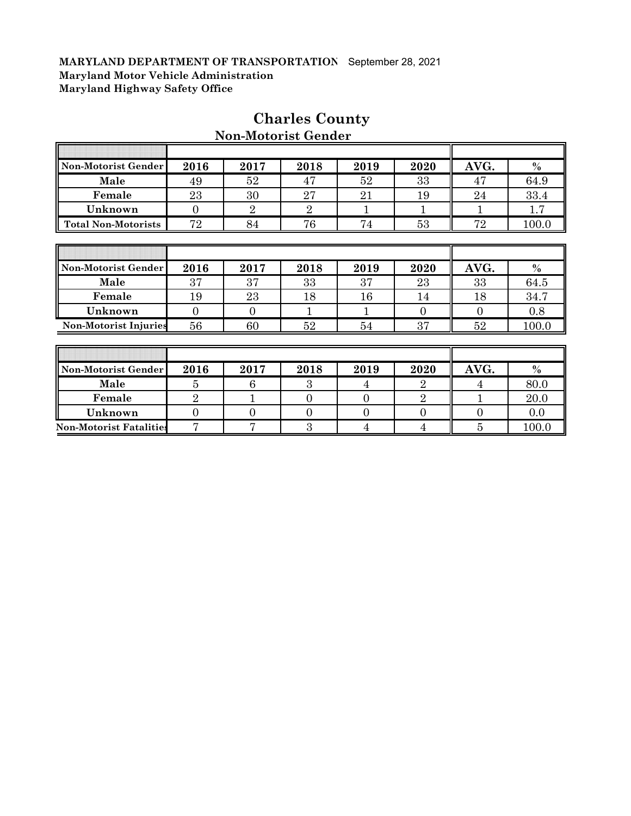F

| Non-Motorist Gender          | 2016           | 2017           | 2018           | 2019           | 2020           | AVG.           | $\%$  |
|------------------------------|----------------|----------------|----------------|----------------|----------------|----------------|-------|
| Male                         | 49             | 52             | 47             | 52             | 33             | 47             | 64.9  |
| Female                       | 23             | 30             | 27             | 21             | 19             | 24             | 33.4  |
| Unknown                      | $\Omega$       | $\overline{2}$ | $\overline{2}$ | 1              | 1              | 1              | 1.7   |
| <b>Total Non-Motorists</b>   | 72             | 84             | 76             | 74             | 53             | 72             | 100.0 |
|                              |                |                |                |                |                |                |       |
|                              |                |                |                |                |                |                |       |
| Non-Motorist Gender          | 2016           | 2017           | 2018           | 2019           | 2020           | AVG.           | $\%$  |
| Male                         | 37             | 37             | 33             | 37             | 23             | 33             | 64.5  |
| Female                       | 19             | 23             | 18             | 16             | 14             | 18             | 34.7  |
| Unknown                      | $\overline{0}$ | $\overline{0}$ | 1              |                | $\Omega$       | $\Omega$       | 0.8   |
| <b>Non-Motorist Injuries</b> | 56             | 60             | 52             | 54             | 37             | 52             | 100.0 |
|                              |                |                |                |                |                |                |       |
|                              |                |                |                |                |                |                |       |
| Non-Motorist Gender          | 2016           | 2017           | 2018           | 2019           | 2020           | AVG.           | $\%$  |
| Male                         | 5              | 6              | 3              | 4              | $\overline{2}$ | 4              | 80.0  |
| Female                       | $\overline{2}$ | 1              | $\Omega$       | $\Omega$       | $\overline{2}$ | 1              | 20.0  |
| Unknown                      | $\overline{0}$ | $\overline{0}$ | $\overline{0}$ | $\overline{0}$ | $\overline{0}$ | $\overline{0}$ | 0.0   |

**Non-Motorist Fatalities** 7 7 7 3 4 4 5 100.0

# **Charles County Non-Motorist Gender**

ī

 $\overline{\mathbf{r}}$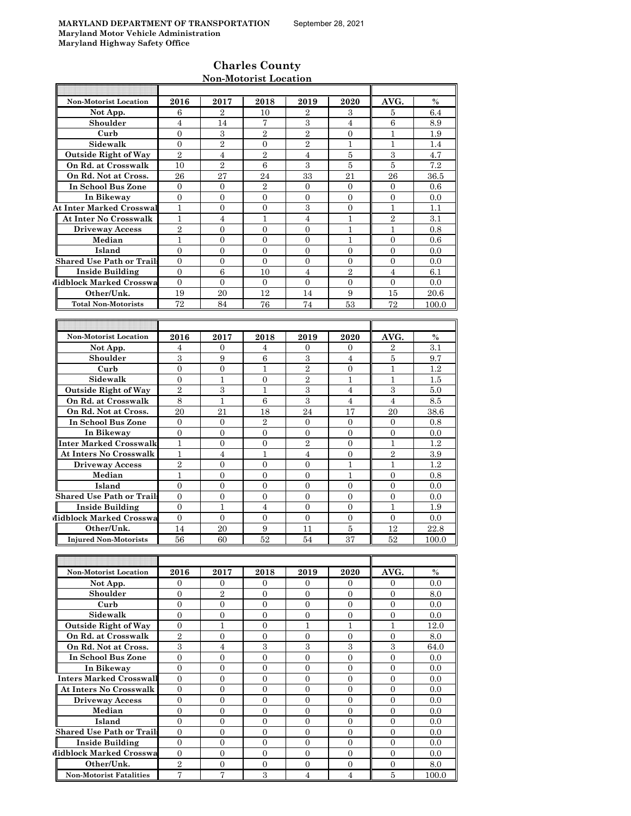T

I

Τ

# **Charles County Non-Motorist Location**

| <b>Non-Motorist Location</b>          | 2016                    | 2017                             | 2018                             | 2019                             | 2020                           | AVG.                           | $\%$       |
|---------------------------------------|-------------------------|----------------------------------|----------------------------------|----------------------------------|--------------------------------|--------------------------------|------------|
| Not App.                              | 6                       | 2                                | 10                               | 2                                | 3                              | 5                              | 6.4        |
| Shoulder                              | 4                       | 14                               | 7                                | 3                                | 4                              | 6                              | 8.9        |
| Curb                                  | $\overline{0}$          | 3                                | $\overline{2}$                   | $\overline{2}$                   | $\overline{0}$                 | 1                              | 1.9        |
| Sidewalk                              | $\overline{0}$          | $\overline{2}$                   | $\overline{0}$                   | $\overline{2}$                   | 1                              | 1                              | 1.4        |
| <b>Outside Right of Way</b>           | $\overline{2}$          | $\overline{4}$                   | $\overline{2}$                   | $\overline{4}$                   | 5                              | 3                              | 4.7        |
| On Rd. at Crosswalk                   | 10                      | $\overline{2}$                   | 6                                | 3                                | 5                              | 5                              | $\!\!7.2$  |
| On Rd. Not at Cross.                  | 26                      | 27                               | 24                               | 33                               | 21                             | 26                             | 36.5       |
| In School Bus Zone                    | $\mathbf{0}$            | 0                                | $\overline{2}$                   | $\mathbf{0}$                     | $\overline{0}$                 | $\overline{0}$                 | 0.6        |
| In Bikeway                            | $\mathbf{0}$            | $\mathbf{0}$                     | $\overline{0}$                   | $\overline{0}$                   | $\overline{0}$                 | $\overline{0}$                 | 0.0        |
| <b>At Inter Marked Crosswal</b>       | $\mathbf{1}$            | $\mathbf{0}$                     | $\overline{0}$                   | 3                                | $\overline{0}$                 | $\mathbf{1}$                   | 1.1        |
| <b>At Inter No Crosswalk</b>          | $\mathbf 1$             | $\overline{4}$                   | $\mathbf{1}$                     | $\overline{4}$                   | $\mathbf{1}$                   | $\overline{2}$                 | 3.1        |
| <b>Driveway Access</b>                | $\overline{2}$          | $\mathbf{0}$                     | $\overline{0}$                   | $\overline{0}$                   | 1                              | 1                              | 0.8        |
| Median                                | 1                       | $\Omega$                         | $\Omega$                         | $\overline{0}$                   | 1                              | $\Omega$                       | 0.6        |
| Island                                | $\overline{0}$          | $\mathbf{0}$                     | $\overline{0}$                   | $\overline{0}$                   | $\overline{0}$                 | $\overline{0}$                 | 0.0        |
| <b>Shared Use Path or Trails</b>      | $\mathbf{0}$            | $\mathbf{0}$                     | $\mathbf{0}$                     | 0                                | $\overline{0}$                 | $\mathbf{0}$                   | 0.0        |
| <b>Inside Building</b>                | $\overline{0}$          | 6                                | 10                               | $\overline{4}$                   | $\overline{2}$                 | $\overline{4}$                 | 6.1        |
| Midblock Marked Crosswa               | $\overline{0}$          | $\mathbf{0}$                     | $\mathbf{0}$                     | $\overline{0}$                   | $\overline{0}$                 | $\overline{0}$                 | 0.0        |
| Other/Unk.                            | 19                      | 20                               | 12                               | 14                               | 9                              | 15                             | 20.6       |
| <b>Total Non-Motorists</b>            | 72                      |                                  |                                  |                                  |                                | 72                             |            |
|                                       |                         | 84                               | 76                               | 74                               | 53                             |                                | 100.0      |
|                                       |                         |                                  |                                  |                                  |                                |                                |            |
|                                       |                         |                                  |                                  |                                  |                                |                                |            |
| <b>Non-Motorist Location</b>          | 2016                    | 2017                             | 2018                             | 2019                             | 2020                           | AVG.                           | $\%$       |
| Not App.                              | 4                       | 0                                | 4                                | 0                                | 0                              | $\boldsymbol{2}$               | 3.1        |
| Shoulder                              | 3                       | 9                                | 6                                | 3                                | 4                              | $\bf 5$                        | 9.7        |
| Curb                                  | $\overline{0}$          | $\mathbf{0}$                     | $\mathbf{1}$                     | $\overline{2}$                   | $\overline{0}$                 | $\mathbf{1}$                   | 1.2        |
| Sidewalk                              | $\boldsymbol{0}$        | $\mathbf 1$                      | $\boldsymbol{0}$                 | $\overline{2}$                   | $\mathbf{1}$                   | $\mathbf{1}$                   | $1.5\,$    |
| <b>Outside Right of Way</b>           | $\overline{2}$          | 3                                | 1                                | 3                                | 4                              | 3                              | 5.0        |
| On Rd. at Crosswalk                   | 8                       | $\mathbf{1}$                     | 6                                | 3                                | $\overline{4}$                 | $\overline{4}$                 | 8.5        |
| On Rd. Not at Cross.                  | 20                      | 21                               | 18                               | 24                               | 17                             | 20                             | 38.6       |
| In School Bus Zone                    | $\overline{0}$          | $\mathbf{0}$                     | $\overline{2}$                   | $\mathbf{0}$                     | $\overline{0}$                 | $\mathbf{0}$                   | 0.8        |
| In Bikeway                            | $\overline{0}$          | $\overline{0}$                   | $\overline{0}$                   | $\overline{0}$                   | $\overline{0}$                 | $\overline{0}$                 | 0.0        |
| Inter Marked Crosswalk                | $\mathbf{1}$            | $\mathbf{0}$                     | $\overline{0}$                   | $\sqrt{2}$                       | $\overline{0}$                 | $\mathbf{1}$                   | 1.2        |
| <b>At Inters No Crosswalk</b>         | $\mathbf{1}$            | $\overline{4}$                   | $\mathbf{1}$                     | $\overline{4}$                   | $\mathbf{0}$                   | $\overline{2}$                 | 3.9        |
| <b>Driveway Access</b>                | $\overline{2}$          | 0                                | 0                                | $\boldsymbol{0}$                 | 1                              | 1                              | 1.2        |
| Median                                | $\mathbf{1}$            | $\overline{0}$                   | $\overline{0}$                   | $\overline{0}$                   | 1                              | $\overline{0}$                 | 0.8        |
| Island                                | $\overline{0}$          | $\overline{0}$                   | $\overline{0}$                   | $\overline{0}$                   | $\overline{0}$                 | $\overline{0}$                 | 0.0        |
| <b>Shared Use Path or Trails</b>      | $\overline{0}$          | $\overline{0}$                   | $\overline{0}$                   | $\overline{0}$                   | $\overline{0}$                 | $\mathbf{0}$                   | 0.0        |
| <b>Inside Building</b>                | $\overline{0}$          | 1                                | $\overline{4}$                   | $\overline{0}$                   | $\overline{0}$                 | 1                              | 1.9        |
| Midblock Marked Crosswa               | $\overline{0}$          | $\overline{0}$                   | $\overline{0}$                   | $\overline{0}$                   | $\overline{0}$                 | $\overline{0}$                 | 0.0        |
| Other/Unk.                            | 14                      | 20                               | 9                                | 11                               | $\bf 5$                        | 12                             | 22.8       |
| <b>Injured Non-Motorists</b>          | 56                      | 60                               | 52                               | 54                               | 37                             | 52                             | 100.0      |
|                                       |                         |                                  |                                  |                                  |                                |                                |            |
|                                       |                         |                                  |                                  |                                  |                                |                                |            |
| Non-Motorist Location                 | 2016                    | 2017                             | 2018                             | 2019                             | 2020                           | AVG.                           | $\%$       |
| Not App.                              | $\overline{0}$          | $\overline{0}$                   | $\overline{0}$                   | $\mathbf{0}$                     | $\mathbf{0}$                   | $\overline{0}$                 | 0.0        |
| Shoulder                              | $\overline{0}$          | $\overline{2}$                   | $\overline{0}$                   | 0                                | $\overline{0}$                 | $\mathbf{0}$                   | 8.0        |
| Curb                                  | $\overline{0}$          | $\overline{0}$                   | $\overline{0}$                   | $\overline{0}$                   | $\overline{0}$                 | $\overline{0}$                 | 0.0        |
| Sidewalk                              | $\mathbf{0}$            | $\boldsymbol{0}$                 | $\mathbf{0}$                     | $\overline{0}$                   | $\overline{0}$                 | $\overline{0}$                 | 0.0        |
| <b>Outside Right of Way</b>           | $\mathbf{0}$            | $\mathbf 1$                      | 0                                | 1                                | 1                              | 1                              | 12.0       |
| On Rd. at Crosswalk                   | $\overline{2}$          | $\overline{0}$                   | $\overline{0}$                   | $\boldsymbol{0}$                 | $\overline{0}$                 | $\mathbf{0}$                   | 8.0        |
| On Rd. Not at Cross.                  | $\,3$                   | $\overline{4}$                   | $\,3$                            | $\,3$                            | 3                              | 3                              | 64.0       |
| In School Bus Zone                    | $\mathbf{0}$            | $\boldsymbol{0}$                 | $\mathbf{0}$                     | 0                                | $\boldsymbol{0}$               | $\boldsymbol{0}$               | 0.0        |
| In Bikeway                            | $\mathbf{0}$            | $\mathbf{0}$                     | $\mathbf{0}$                     | $\overline{0}$                   | $\overline{0}$                 | $\overline{0}$                 | 0.0        |
| Inters Marked Crosswall               | $\Omega$                | $\mathbf{0}$                     | $\overline{0}$                   | $\overline{0}$                   | $\Omega$                       | $\Omega$                       | 0.0        |
| At Inters No Crosswalk                | $\mathbf{0}$            | $\mathbf{0}$                     | $\mathbf{0}$                     | $\overline{0}$                   | $\mathbf{0}$                   | $\overline{0}$                 | 0.0        |
| <b>Driveway Access</b>                | $\overline{0}$          | 0                                | $\overline{0}$                   | 0                                | $\overline{0}$                 | $\theta$                       | 0.0        |
| Median                                | $\mathbf{0}$            | $\mathbf{0}$                     | $\overline{0}$                   | $\overline{0}$                   | $\mathbf{0}$                   | $\mathbf{0}$                   | 0.0        |
| Island                                |                         | $\mathbf{0}$                     | $\overline{0}$                   | $\overline{0}$                   | $\overline{0}$                 | $\mathbf{0}$                   | 0.0        |
| <b>Shared Use Path or Trails</b>      |                         |                                  |                                  |                                  |                                |                                |            |
|                                       | $\mathbf{0}$            |                                  |                                  |                                  |                                |                                |            |
|                                       | 0                       | $\boldsymbol{0}$                 | 0                                | 0                                | $\boldsymbol{0}$               | $\boldsymbol{0}$               | 0.0        |
| <b>Inside Building</b>                | $\overline{0}$          | $\boldsymbol{0}$                 | $\overline{0}$                   | 0                                | 0                              | 0                              | 0.0        |
| Midblock Marked Crosswa<br>Other/Unk. | $\overline{0}$<br>$\,2$ | $\overline{0}$<br>$\overline{0}$ | $\overline{0}$<br>$\overline{0}$ | $\overline{0}$<br>$\overline{0}$ | $\overline{0}$<br>$\mathbf{0}$ | $\overline{0}$<br>$\mathbf{0}$ | 0.0<br>8.0 |

**Non-Motorist Fatalities** 7 7 7 3 4 4 5 100.0